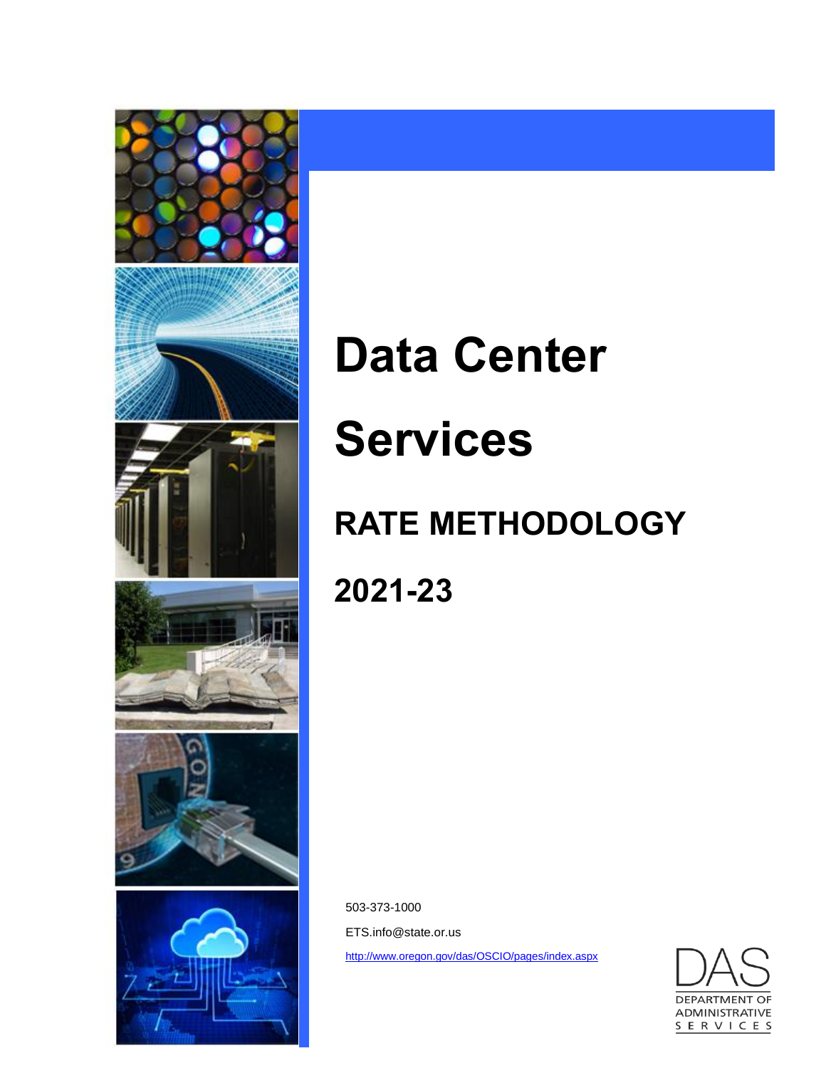

# **Data Center Services**

# **RATE METHODOLOGY**

**2021-23**

503-373-1000 ETS.info@state.or.us <http://www.oregon.gov/das/OSCIO/pages/index.aspx>

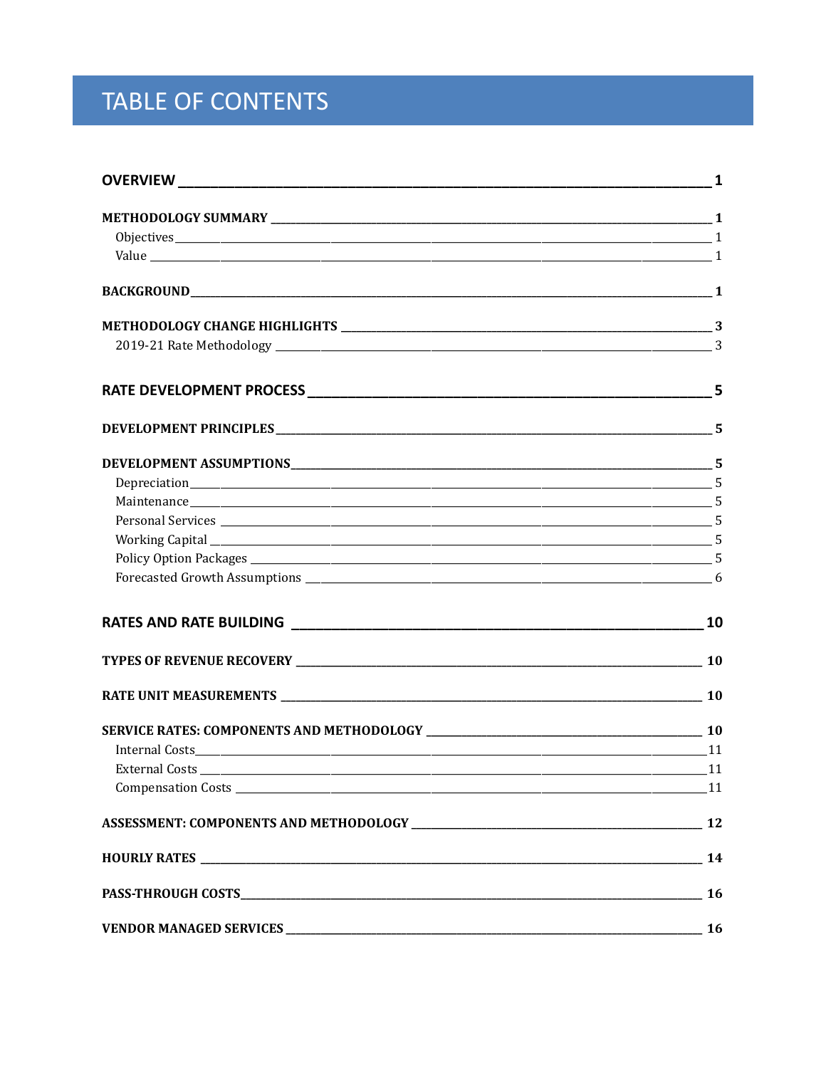# TABLE OF CONTENTS

|                | 10 |
|----------------|----|
|                |    |
|                |    |
|                |    |
|                |    |
| External Costs |    |
|                |    |
|                |    |
|                |    |
|                |    |
|                |    |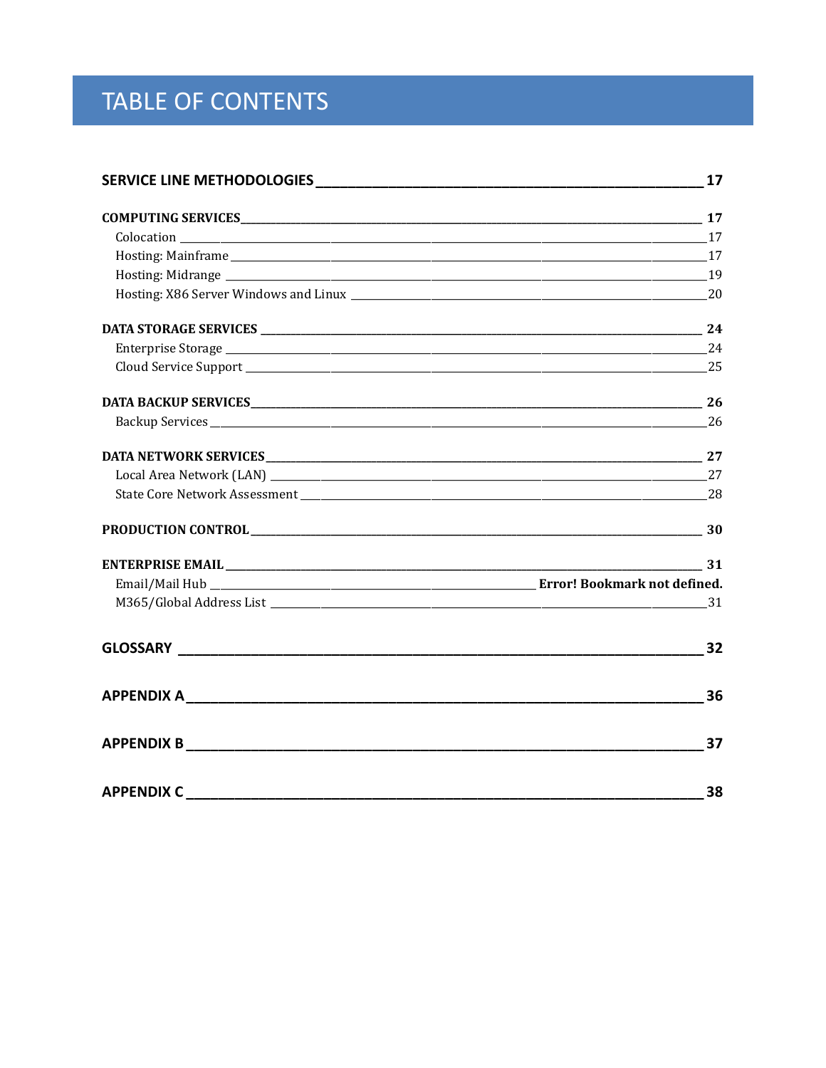# TABLE OF CONTENTS

|                   | 17             |
|-------------------|----------------|
|                   |                |
|                   |                |
|                   |                |
|                   |                |
|                   |                |
|                   |                |
|                   |                |
|                   |                |
|                   |                |
|                   |                |
|                   |                |
|                   |                |
|                   |                |
|                   |                |
|                   | $\frac{31}{2}$ |
|                   |                |
|                   | 31             |
|                   | 32             |
|                   | 36             |
| <b>APPENDIX B</b> | 37             |
| <b>APPENDIX C</b> | 38             |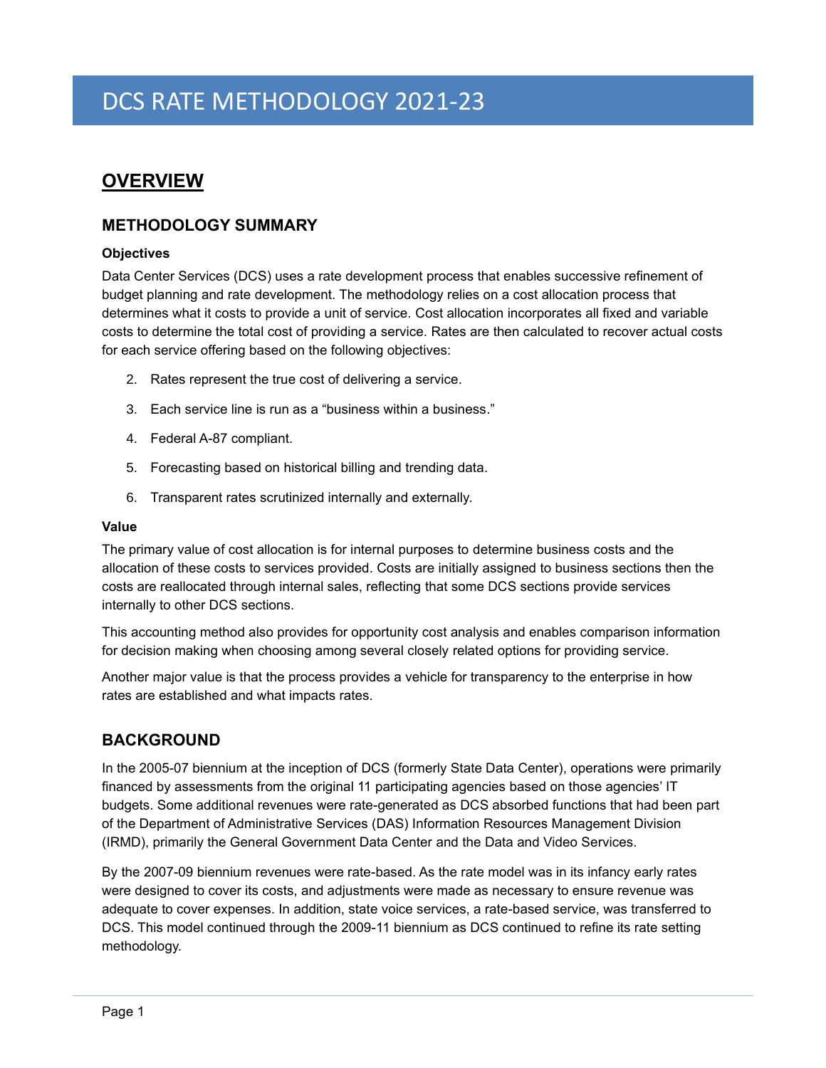# <span id="page-4-0"></span>**OVERVIEW**

# <span id="page-4-1"></span>**METHODOLOGY SUMMARY**

# <span id="page-4-2"></span>**Objectives**

Data Center Services (DCS) uses a rate development process that enables successive refinement of budget planning and rate development. The methodology relies on a cost allocation process that determines what it costs to provide a unit of service. Cost allocation incorporates all fixed and variable costs to determine the total cost of providing a service. Rates are then calculated to recover actual costs for each service offering based on the following objectives:

- 2. Rates represent the true cost of delivering a service.
- 3. Each service line is run as a "business within a business."
- 4. Federal A-87 compliant.
- 5. Forecasting based on historical billing and trending data.
- 6. Transparent rates scrutinized internally and externally.

#### <span id="page-4-3"></span>**Value**

The primary value of cost allocation is for internal purposes to determine business costs and the allocation of these costs to services provided. Costs are initially assigned to business sections then the costs are reallocated through internal sales, reflecting that some DCS sections provide services internally to other DCS sections.

This accounting method also provides for opportunity cost analysis and enables comparison information for decision making when choosing among several closely related options for providing service.

Another major value is that the process provides a vehicle for transparency to the enterprise in how rates are established and what impacts rates.

# <span id="page-4-4"></span>**BACKGROUND**

In the 2005-07 biennium at the inception of DCS (formerly State Data Center), operations were primarily financed by assessments from the original 11 participating agencies based on those agencies' IT budgets. Some additional revenues were rate-generated as DCS absorbed functions that had been part of the Department of Administrative Services (DAS) Information Resources Management Division (IRMD), primarily the General Government Data Center and the Data and Video Services.

By the 2007-09 biennium revenues were rate-based. As the rate model was in its infancy early rates were designed to cover its costs, and adjustments were made as necessary to ensure revenue was adequate to cover expenses. In addition, state voice services, a rate-based service, was transferred to DCS. This model continued through the 2009-11 biennium as DCS continued to refine its rate setting methodology.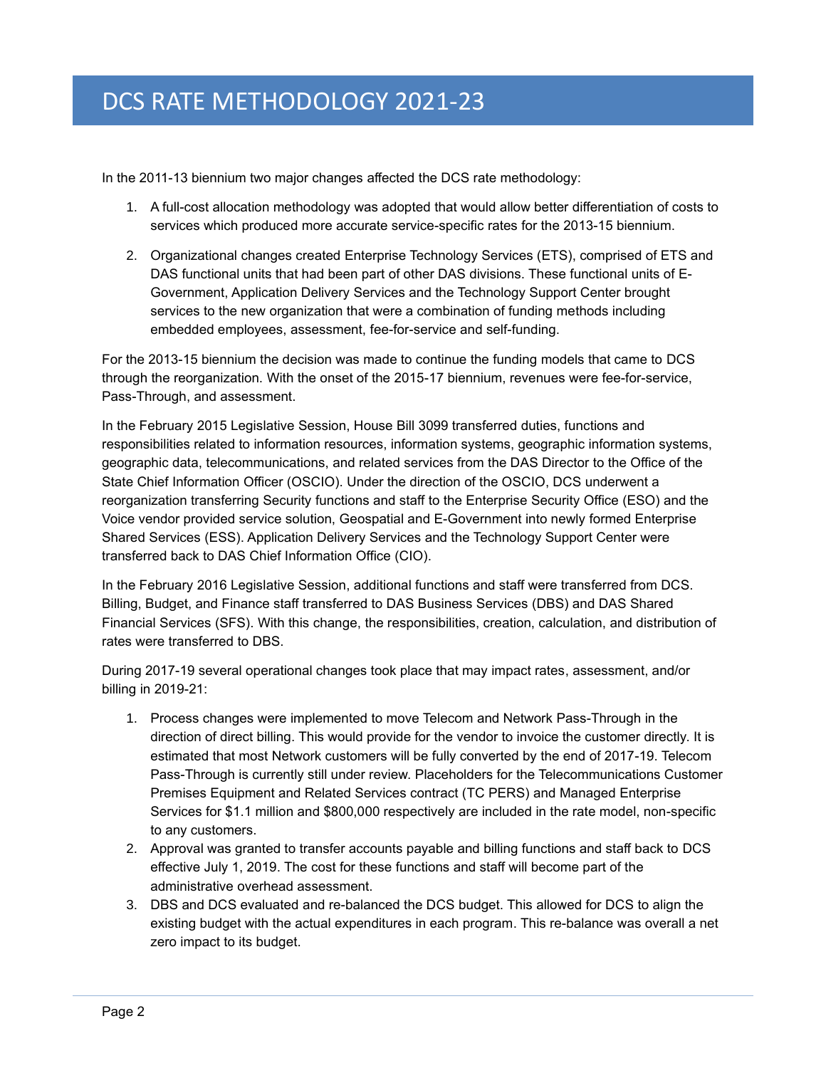In the 2011-13 biennium two major changes affected the DCS rate methodology:

- 1. A full-cost allocation methodology was adopted that would allow better differentiation of costs to services which produced more accurate service-specific rates for the 2013-15 biennium.
- 2. Organizational changes created Enterprise Technology Services (ETS), comprised of ETS and DAS functional units that had been part of other DAS divisions. These functional units of E-Government, Application Delivery Services and the Technology Support Center brought services to the new organization that were a combination of funding methods including embedded employees, assessment, fee-for-service and self-funding.

For the 2013-15 biennium the decision was made to continue the funding models that came to DCS through the reorganization. With the onset of the 2015-17 biennium, revenues were fee-for-service, Pass-Through, and assessment.

In the February 2015 Legislative Session, House Bill 3099 transferred duties, functions and responsibilities related to information resources, information systems, geographic information systems, geographic data, telecommunications, and related services from the DAS Director to the Office of the State Chief Information Officer (OSCIO). Under the direction of the OSCIO, DCS underwent a reorganization transferring Security functions and staff to the Enterprise Security Office (ESO) and the Voice vendor provided service solution, Geospatial and E-Government into newly formed Enterprise Shared Services (ESS). Application Delivery Services and the Technology Support Center were transferred back to DAS Chief Information Office (CIO).

In the February 2016 Legislative Session, additional functions and staff were transferred from DCS. Billing, Budget, and Finance staff transferred to DAS Business Services (DBS) and DAS Shared Financial Services (SFS). With this change, the responsibilities, creation, calculation, and distribution of rates were transferred to DBS.

During 2017-19 several operational changes took place that may impact rates, assessment, and/or billing in 2019-21:

- 1. Process changes were implemented to move Telecom and Network Pass-Through in the direction of direct billing. This would provide for the vendor to invoice the customer directly. It is estimated that most Network customers will be fully converted by the end of 2017-19. Telecom Pass-Through is currently still under review. Placeholders for the Telecommunications Customer Premises Equipment and Related Services contract (TC PERS) and Managed Enterprise Services for \$1.1 million and \$800,000 respectively are included in the rate model, non-specific to any customers.
- 2. Approval was granted to transfer accounts payable and billing functions and staff back to DCS effective July 1, 2019. The cost for these functions and staff will become part of the administrative overhead assessment.
- 3. DBS and DCS evaluated and re-balanced the DCS budget. This allowed for DCS to align the existing budget with the actual expenditures in each program. This re-balance was overall a net zero impact to its budget.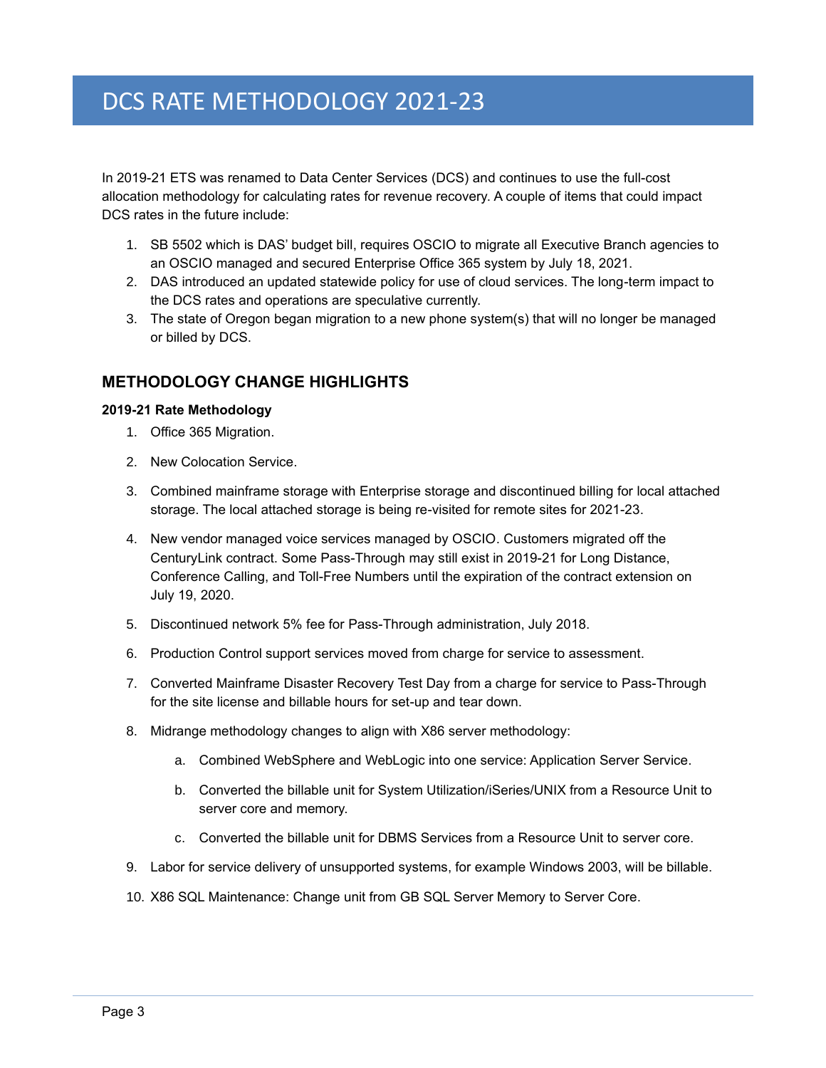In 2019-21 ETS was renamed to Data Center Services (DCS) and continues to use the full-cost allocation methodology for calculating rates for revenue recovery. A couple of items that could impact DCS rates in the future include:

- 1. SB 5502 which is DAS' budget bill, requires OSCIO to migrate all Executive Branch agencies to an OSCIO managed and secured Enterprise Office 365 system by July 18, 2021.
- 2. DAS introduced an updated statewide policy for use of cloud services. The long-term impact to the DCS rates and operations are speculative currently.
- 3. The state of Oregon began migration to a new phone system(s) that will no longer be managed or billed by DCS.

# <span id="page-6-0"></span>**METHODOLOGY CHANGE HIGHLIGHTS**

### <span id="page-6-1"></span>**2019-21 Rate Methodology**

- 1. Office 365 Migration.
- 2. New Colocation Service.
- 3. Combined mainframe storage with Enterprise storage and discontinued billing for local attached storage. The local attached storage is being re-visited for remote sites for 2021-23.
- 4. New vendor managed voice services managed by OSCIO. Customers migrated off the CenturyLink contract. Some Pass-Through may still exist in 2019-21 for Long Distance, Conference Calling, and Toll-Free Numbers until the expiration of the contract extension on July 19, 2020.
- 5. Discontinued network 5% fee for Pass-Through administration, July 2018.
- 6. Production Control support services moved from charge for service to assessment.
- 7. Converted Mainframe Disaster Recovery Test Day from a charge for service to Pass-Through for the site license and billable hours for set-up and tear down.
- 8. Midrange methodology changes to align with X86 server methodology:
	- a. Combined WebSphere and WebLogic into one service: Application Server Service.
	- b. Converted the billable unit for System Utilization/iSeries/UNIX from a Resource Unit to server core and memory.
	- c. Converted the billable unit for DBMS Services from a Resource Unit to server core.
- 9. Labor for service delivery of unsupported systems, for example Windows 2003, will be billable.
- 10. X86 SQL Maintenance: Change unit from GB SQL Server Memory to Server Core.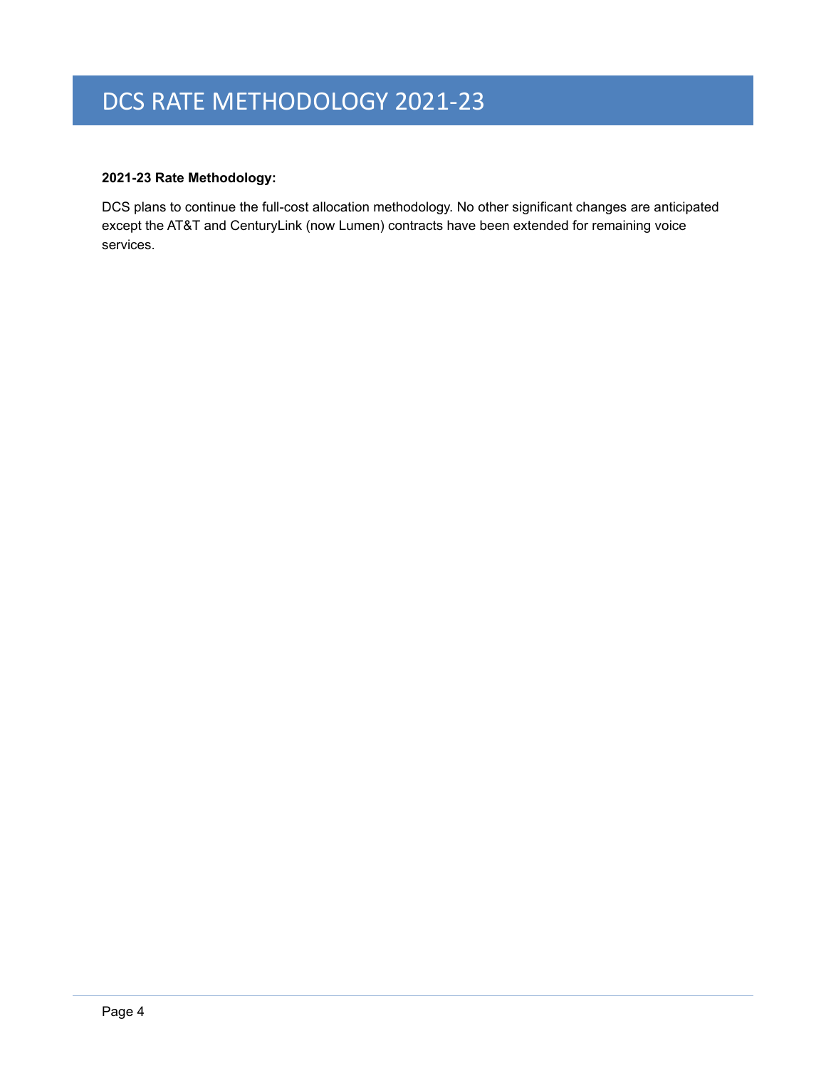# **2021-23 Rate Methodology:**

DCS plans to continue the full-cost allocation methodology. No other significant changes are anticipated except the AT&T and CenturyLink (now Lumen) contracts have been extended for remaining voice services.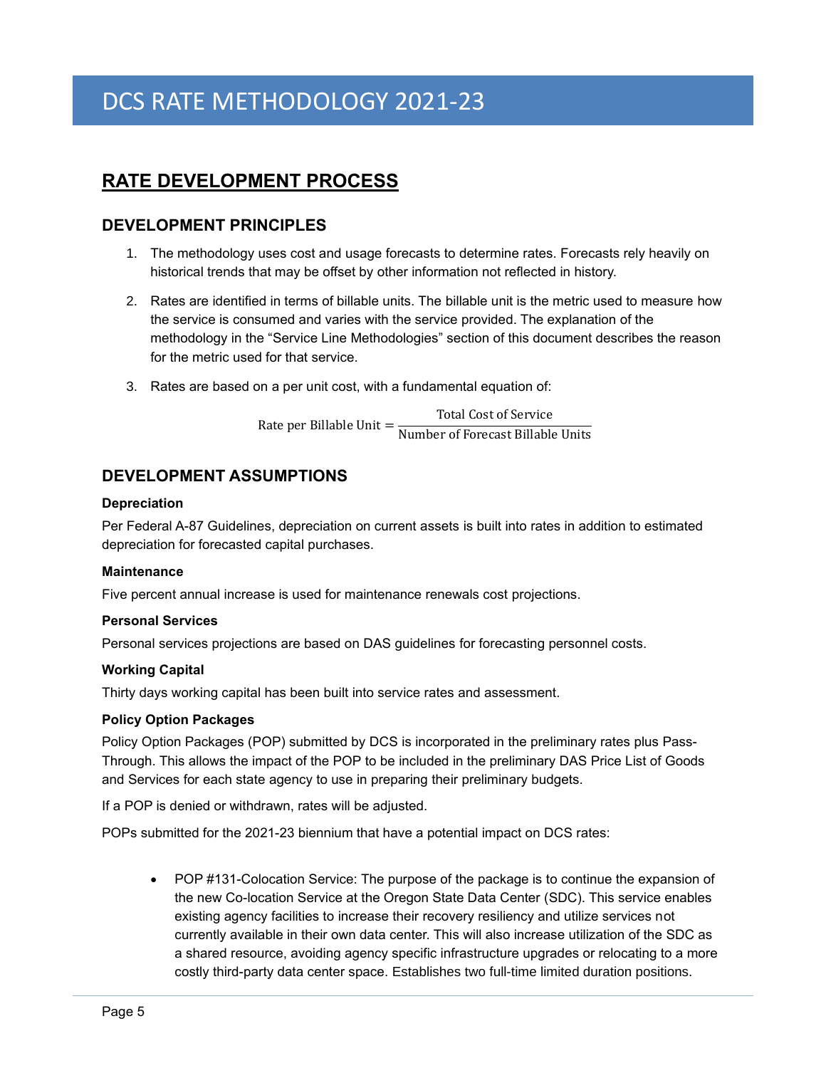# <span id="page-8-0"></span>**RATE DEVELOPMENT PROCESS**

# <span id="page-8-1"></span>**DEVELOPMENT PRINCIPLES**

- 1. The methodology uses cost and usage forecasts to determine rates. Forecasts rely heavily on historical trends that may be offset by other information not reflected in history.
- 2. Rates are identified in terms of billable units. The billable unit is the metric used to measure how the service is consumed and varies with the service provided. The explanation of the methodology in the "Service Line Methodologies" section of this document describes the reason for the metric used for that service.
- 3. Rates are based on a per unit cost, with a fundamental equation of:

Rate per Billable Unit  $=$  Total Cost of Service Number of Forecast Billable Units

# <span id="page-8-2"></span>**DEVELOPMENT ASSUMPTIONS**

### <span id="page-8-3"></span>**Depreciation**

Per Federal A-87 Guidelines, depreciation on current assets is built into rates in addition to estimated depreciation for forecasted capital purchases.

#### <span id="page-8-4"></span>**Maintenance**

Five percent annual increase is used for maintenance renewals cost projections.

# <span id="page-8-5"></span>**Personal Services**

Personal services projections are based on DAS guidelines for forecasting personnel costs.

# <span id="page-8-6"></span>**Working Capital**

Thirty days working capital has been built into service rates and assessment.

#### <span id="page-8-7"></span>**Policy Option Packages**

Policy Option Packages (POP) submitted by DCS is incorporated in the preliminary rates plus Pass-Through. This allows the impact of the POP to be included in the preliminary DAS Price List of Goods and Services for each state agency to use in preparing their preliminary budgets.

If a POP is denied or withdrawn, rates will be adjusted.

POPs submitted for the 2021-23 biennium that have a potential impact on DCS rates:

• POP #131-Colocation Service: The purpose of the package is to continue the expansion of the new Co-location Service at the Oregon State Data Center (SDC). This service enables existing agency facilities to increase their recovery resiliency and utilize services not currently available in their own data center. This will also increase utilization of the SDC as a shared resource, avoiding agency specific infrastructure upgrades or relocating to a more costly third-party data center space. Establishes two full-time limited duration positions.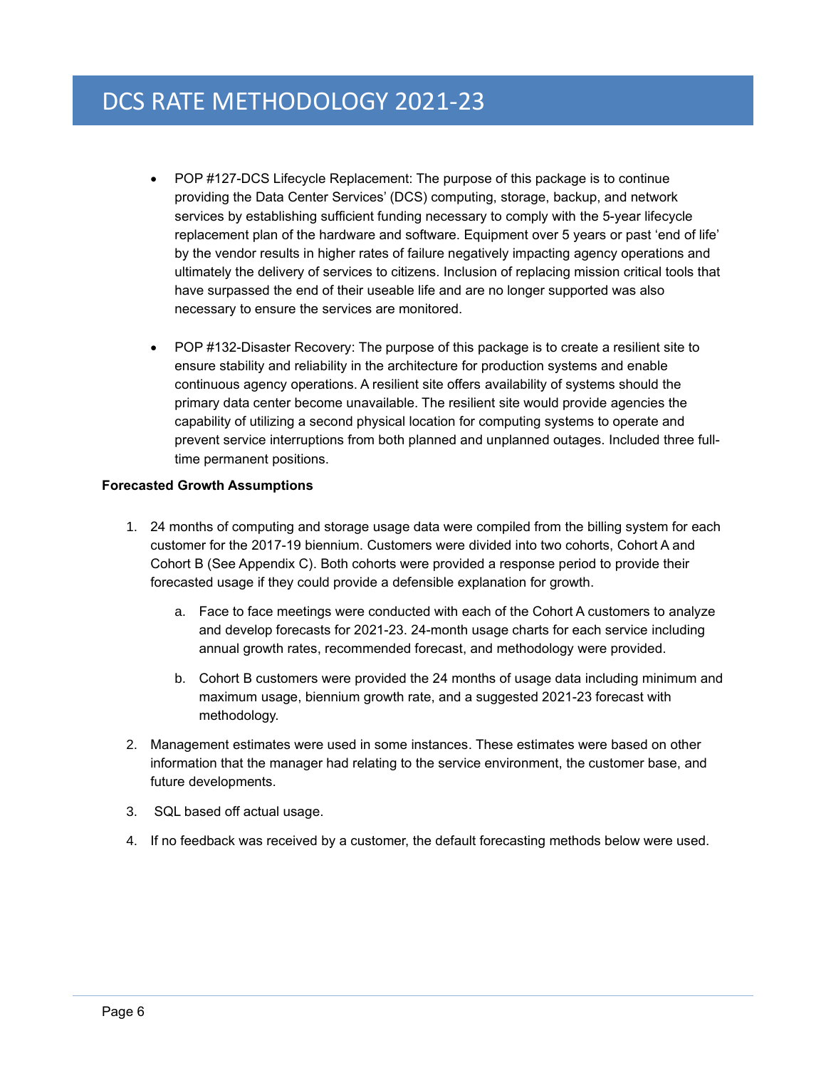- POP #127-DCS Lifecycle Replacement: The purpose of this package is to continue providing the Data Center Services' (DCS) computing, storage, backup, and network services by establishing sufficient funding necessary to comply with the 5-year lifecycle replacement plan of the hardware and software. Equipment over 5 years or past 'end of life' by the vendor results in higher rates of failure negatively impacting agency operations and ultimately the delivery of services to citizens. Inclusion of replacing mission critical tools that have surpassed the end of their useable life and are no longer supported was also necessary to ensure the services are monitored.
- POP #132-Disaster Recovery: The purpose of this package is to create a resilient site to ensure stability and reliability in the architecture for production systems and enable continuous agency operations. A resilient site offers availability of systems should the primary data center become unavailable. The resilient site would provide agencies the capability of utilizing a second physical location for computing systems to operate and prevent service interruptions from both planned and unplanned outages. Included three fulltime permanent positions.

# <span id="page-9-0"></span>**Forecasted Growth Assumptions**

- 1. 24 months of computing and storage usage data were compiled from the billing system for each customer for the 2017-19 biennium. Customers were divided into two cohorts, Cohort A and Cohort B (See Appendix C). Both cohorts were provided a response period to provide their forecasted usage if they could provide a defensible explanation for growth.
	- a. Face to face meetings were conducted with each of the Cohort A customers to analyze and develop forecasts for 2021-23. 24-month usage charts for each service including annual growth rates, recommended forecast, and methodology were provided.
	- b. Cohort B customers were provided the 24 months of usage data including minimum and maximum usage, biennium growth rate, and a suggested 2021-23 forecast with methodology.
- 2. Management estimates were used in some instances. These estimates were based on other information that the manager had relating to the service environment, the customer base, and future developments.
- 3. SQL based off actual usage.
- 4. If no feedback was received by a customer, the default forecasting methods below were used.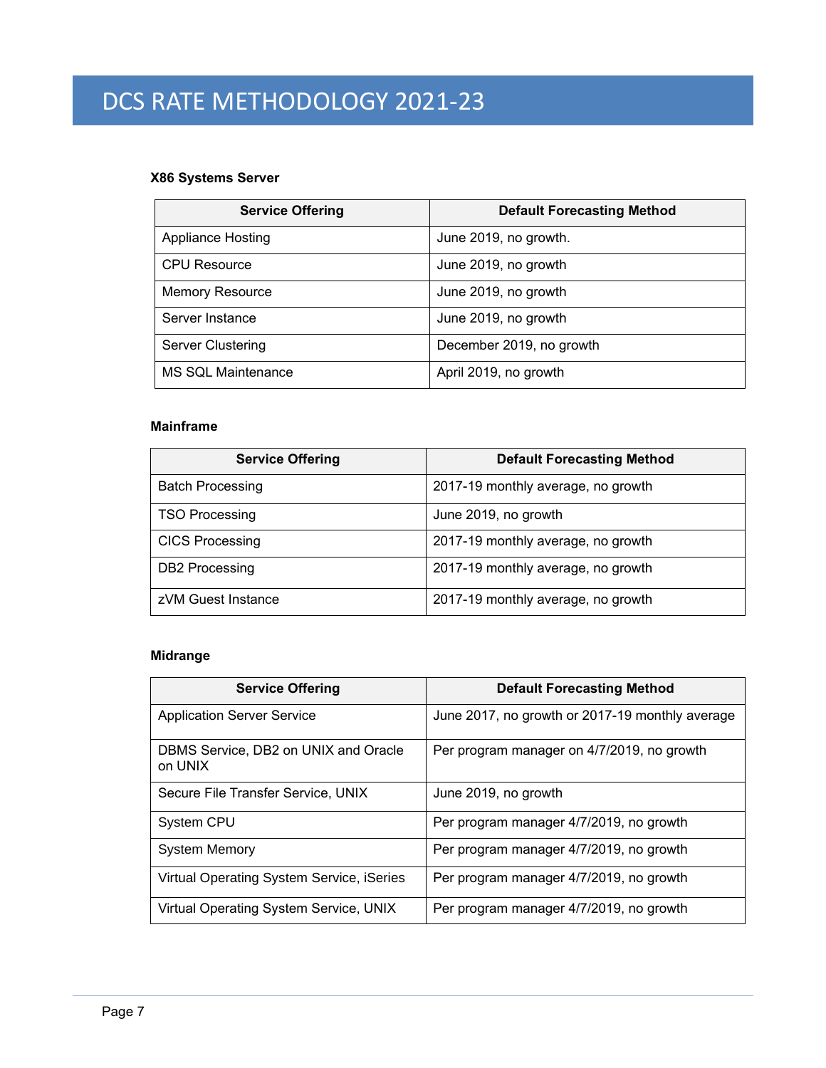# **X86 Systems Server**

| <b>Service Offering</b>   | <b>Default Forecasting Method</b> |
|---------------------------|-----------------------------------|
| <b>Appliance Hosting</b>  | June 2019, no growth.             |
| <b>CPU Resource</b>       | June 2019, no growth              |
| <b>Memory Resource</b>    | June 2019, no growth              |
| Server Instance           | June 2019, no growth              |
| <b>Server Clustering</b>  | December 2019, no growth          |
| <b>MS SQL Maintenance</b> | April 2019, no growth             |

# **Mainframe**

| <b>Service Offering</b> | <b>Default Forecasting Method</b>  |
|-------------------------|------------------------------------|
| <b>Batch Processing</b> | 2017-19 monthly average, no growth |
| <b>TSO Processing</b>   | June 2019, no growth               |
| <b>CICS Processing</b>  | 2017-19 monthly average, no growth |
| DB2 Processing          | 2017-19 monthly average, no growth |
| zVM Guest Instance      | 2017-19 monthly average, no growth |

# **Midrange**

| <b>Service Offering</b>                         | <b>Default Forecasting Method</b>               |
|-------------------------------------------------|-------------------------------------------------|
| <b>Application Server Service</b>               | June 2017, no growth or 2017-19 monthly average |
| DBMS Service, DB2 on UNIX and Oracle<br>on UNIX | Per program manager on 4/7/2019, no growth      |
| Secure File Transfer Service, UNIX              | June 2019, no growth                            |
| System CPU                                      | Per program manager 4/7/2019, no growth         |
| <b>System Memory</b>                            | Per program manager 4/7/2019, no growth         |
| Virtual Operating System Service, iSeries       | Per program manager 4/7/2019, no growth         |
| Virtual Operating System Service, UNIX          | Per program manager 4/7/2019, no growth         |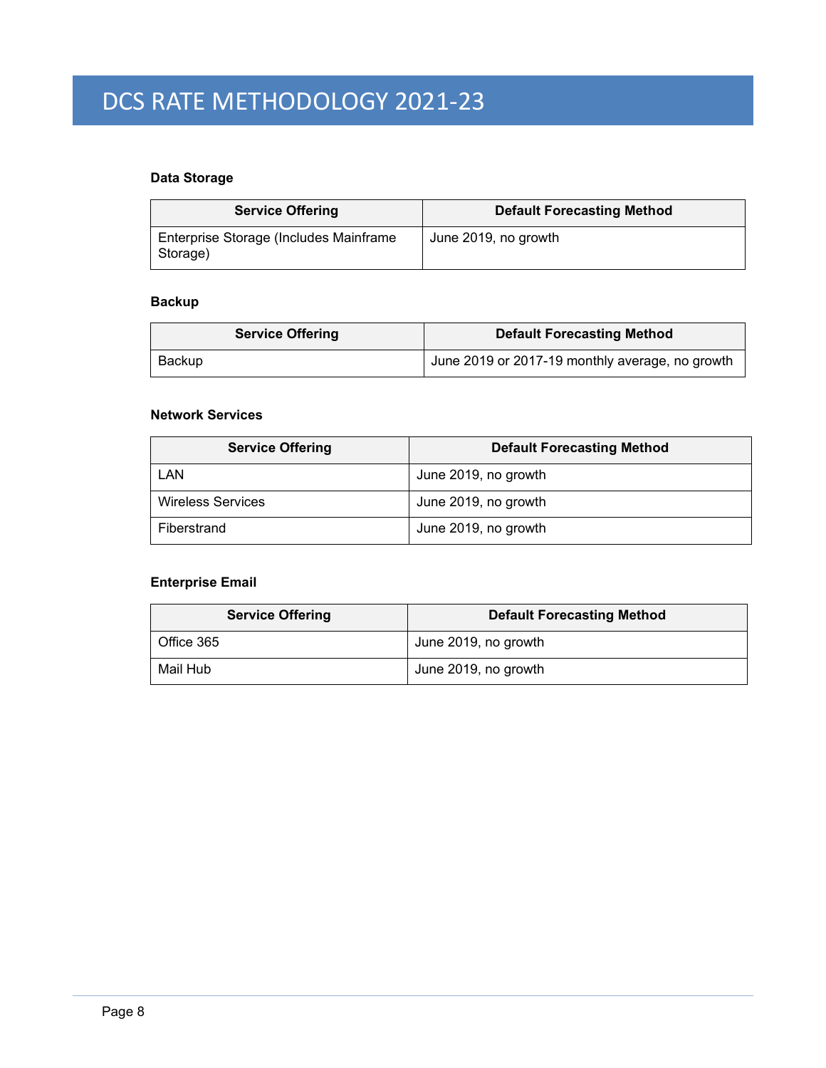# **Data Storage**

| <b>Service Offering</b>                            | <b>Default Forecasting Method</b> |
|----------------------------------------------------|-----------------------------------|
| Enterprise Storage (Includes Mainframe<br>Storage) | June 2019, no growth              |

# **Backup**

|        | <b>Service Offering</b> | <b>Default Forecasting Method</b>               |
|--------|-------------------------|-------------------------------------------------|
| Backup |                         | June 2019 or 2017-19 monthly average, no growth |

# **Network Services**

| <b>Service Offering</b>  | <b>Default Forecasting Method</b> |
|--------------------------|-----------------------------------|
| LAN                      | June 2019, no growth              |
| <b>Wireless Services</b> | June 2019, no growth              |
| Fiberstrand              | June 2019, no growth              |

# **Enterprise Email**

| <b>Service Offering</b> | <b>Default Forecasting Method</b> |
|-------------------------|-----------------------------------|
| Office 365              | June 2019, no growth              |
| Mail Hub                | June 2019, no growth              |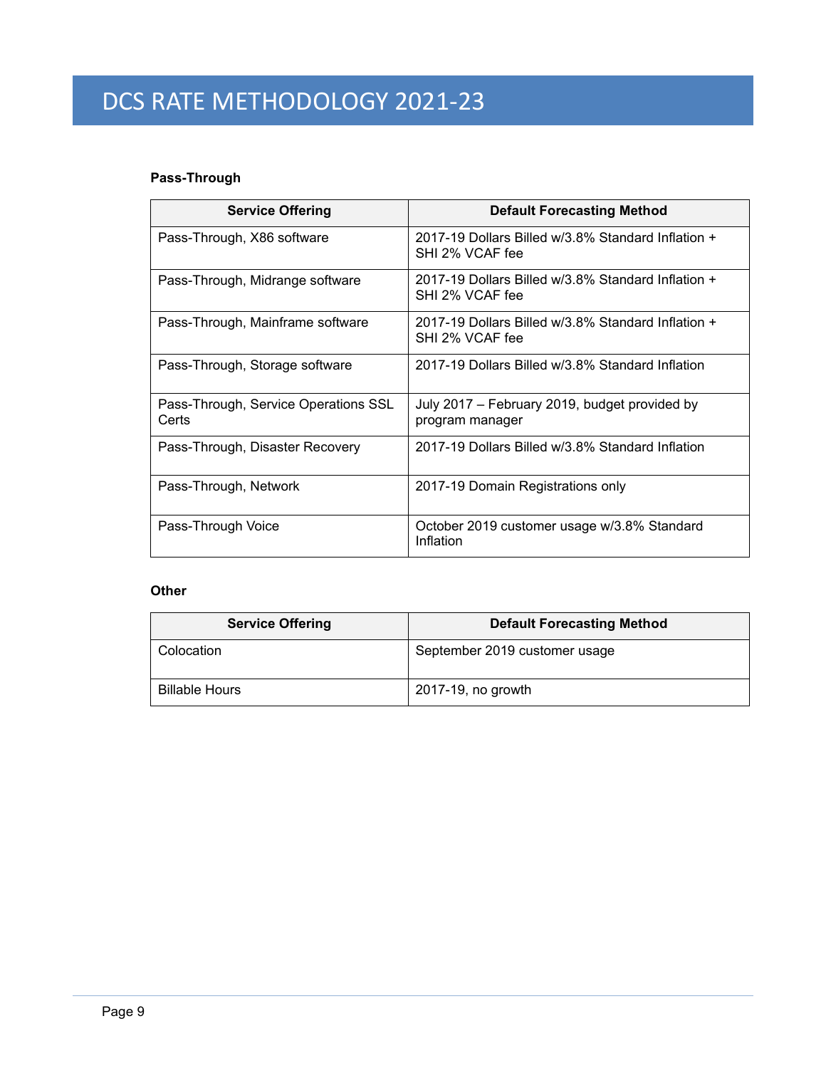# **Pass-Through**

| <b>Service Offering</b>                       | <b>Default Forecasting Method</b>                                     |
|-----------------------------------------------|-----------------------------------------------------------------------|
| Pass-Through, X86 software                    | 2017-19 Dollars Billed w/3.8% Standard Inflation +<br>SHI 2% VCAF fee |
| Pass-Through, Midrange software               | 2017-19 Dollars Billed w/3.8% Standard Inflation +<br>SHI 2% VCAF fee |
| Pass-Through, Mainframe software              | 2017-19 Dollars Billed w/3.8% Standard Inflation +<br>SHI 2% VCAF fee |
| Pass-Through, Storage software                | 2017-19 Dollars Billed w/3.8% Standard Inflation                      |
| Pass-Through, Service Operations SSL<br>Certs | July 2017 – February 2019, budget provided by<br>program manager      |
| Pass-Through, Disaster Recovery               | 2017-19 Dollars Billed w/3.8% Standard Inflation                      |
| Pass-Through, Network                         | 2017-19 Domain Registrations only                                     |
| Pass-Through Voice                            | October 2019 customer usage w/3.8% Standard<br>Inflation              |

# **Other**

| <b>Service Offering</b> | <b>Default Forecasting Method</b> |
|-------------------------|-----------------------------------|
| Colocation              | September 2019 customer usage     |
| <b>Billable Hours</b>   | 2017-19, no growth                |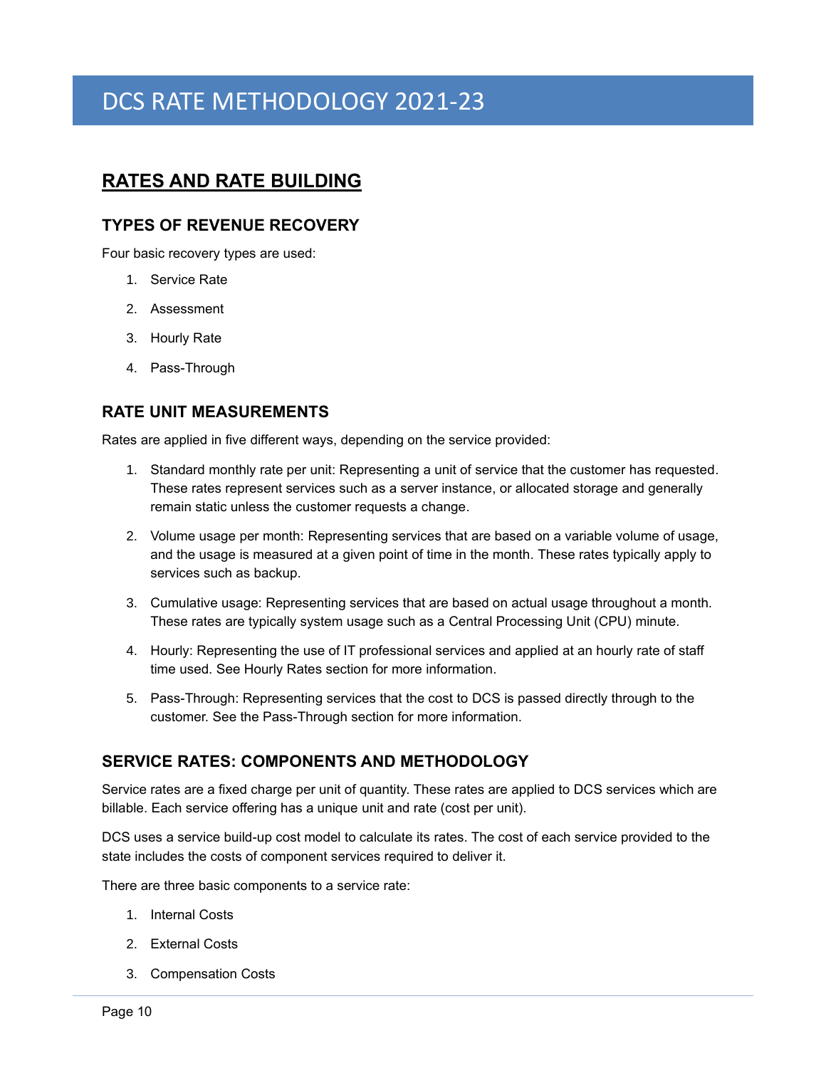# <span id="page-13-0"></span>**RATES AND RATE BUILDING**

# <span id="page-13-1"></span>**TYPES OF REVENUE RECOVERY**

Four basic recovery types are used:

- 1. Service Rate
- 2. Assessment
- 3. Hourly Rate
- 4. Pass-Through

# <span id="page-13-2"></span>**RATE UNIT MEASUREMENTS**

Rates are applied in five different ways, depending on the service provided:

- 1. Standard monthly rate per unit: Representing a unit of service that the customer has requested. These rates represent services such as a server instance, or allocated storage and generally remain static unless the customer requests a change.
- 2. Volume usage per month: Representing services that are based on a variable volume of usage, and the usage is measured at a given point of time in the month. These rates typically apply to services such as backup.
- 3. Cumulative usage: Representing services that are based on actual usage throughout a month. These rates are typically system usage such as a Central Processing Unit (CPU) minute.
- 4. Hourly: Representing the use of IT professional services and applied at an hourly rate of staff time used. See Hourly Rates section for more information.
- 5. Pass-Through: Representing services that the cost to DCS is passed directly through to the customer. See the Pass-Through section for more information.

# <span id="page-13-3"></span>**SERVICE RATES: COMPONENTS AND METHODOLOGY**

Service rates are a fixed charge per unit of quantity. These rates are applied to DCS services which are billable. Each service offering has a unique unit and rate (cost per unit).

DCS uses a service build-up cost model to calculate its rates. The cost of each service provided to the state includes the costs of component services required to deliver it.

There are three basic components to a service rate:

- 1. Internal Costs
- 2. External Costs
- 3. Compensation Costs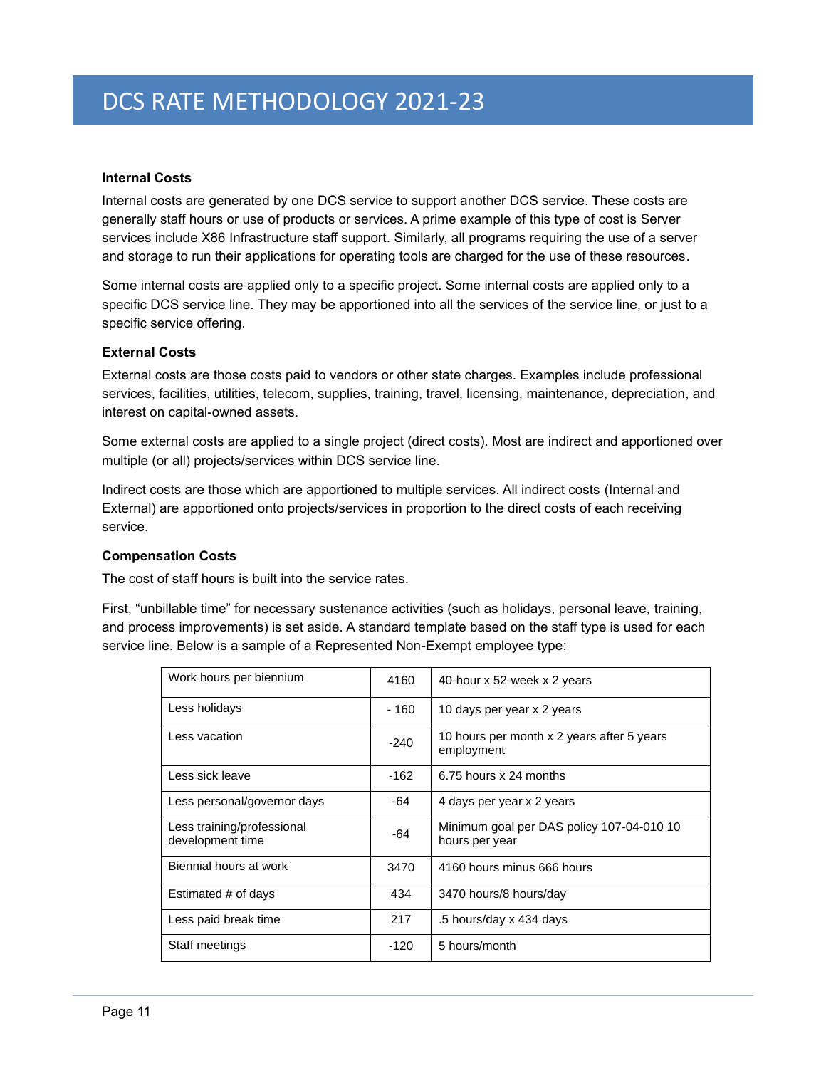# <span id="page-14-0"></span>**Internal Costs**

Internal costs are generated by one DCS service to support another DCS service. These costs are generally staff hours or use of products or services. A prime example of this type of cost is Server services include X86 Infrastructure staff support. Similarly, all programs requiring the use of a server and storage to run their applications for operating tools are charged for the use of these resources.

Some internal costs are applied only to a specific project. Some internal costs are applied only to a specific DCS service line. They may be apportioned into all the services of the service line, or just to a specific service offering.

### <span id="page-14-1"></span>**External Costs**

External costs are those costs paid to vendors or other state charges. Examples include professional services, facilities, utilities, telecom, supplies, training, travel, licensing, maintenance, depreciation, and interest on capital-owned assets.

Some external costs are applied to a single project (direct costs). Most are indirect and apportioned over multiple (or all) projects/services within DCS service line.

Indirect costs are those which are apportioned to multiple services. All indirect costs (Internal and External) are apportioned onto projects/services in proportion to the direct costs of each receiving service.

### <span id="page-14-2"></span>**Compensation Costs**

The cost of staff hours is built into the service rates.

First, "unbillable time" for necessary sustenance activities (such as holidays, personal leave, training, and process improvements) is set aside. A standard template based on the staff type is used for each service line. Below is a sample of a Represented Non-Exempt employee type:

| Work hours per biennium                        | 4160   | 40-hour x 52-week x 2 years                                 |
|------------------------------------------------|--------|-------------------------------------------------------------|
| Less holidays                                  | - 160  | 10 days per year x 2 years                                  |
| Less vacation                                  | $-240$ | 10 hours per month x 2 years after 5 years<br>employment    |
| Less sick leave                                | $-162$ | 6.75 hours x 24 months                                      |
| Less personal/governor days                    | -64    | 4 days per year x 2 years                                   |
| Less training/professional<br>development time | -64    | Minimum goal per DAS policy 107-04-010 10<br>hours per year |
| Biennial hours at work                         | 3470   | 4160 hours minus 666 hours                                  |
| Estimated # of days                            | 434    | 3470 hours/8 hours/day                                      |
| Less paid break time                           | 217    | .5 hours/day x 434 days                                     |
| Staff meetings                                 | $-120$ | 5 hours/month                                               |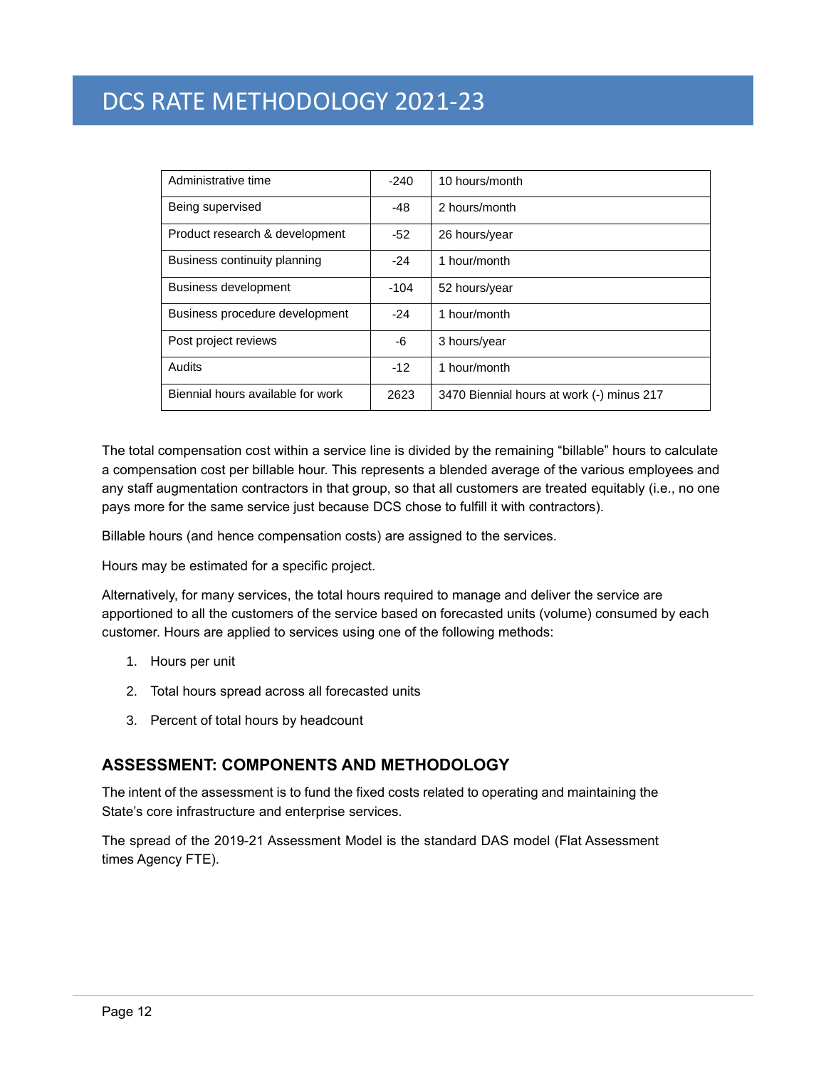| Administrative time               | $-240$ | 10 hours/month                            |
|-----------------------------------|--------|-------------------------------------------|
| Being supervised                  | $-48$  | 2 hours/month                             |
| Product research & development    | $-52$  | 26 hours/year                             |
| Business continuity planning      | $-24$  | 1 hour/month                              |
| <b>Business development</b>       | $-104$ | 52 hours/year                             |
| Business procedure development    | $-24$  | 1 hour/month                              |
| Post project reviews              | -6     | 3 hours/year                              |
| <b>Audits</b>                     | $-12$  | 1 hour/month                              |
| Biennial hours available for work | 2623   | 3470 Biennial hours at work (-) minus 217 |

The total compensation cost within a service line is divided by the remaining "billable" hours to calculate a compensation cost per billable hour. This represents a blended average of the various employees and any staff augmentation contractors in that group, so that all customers are treated equitably (i.e., no one pays more for the same service just because DCS chose to fulfill it with contractors).

Billable hours (and hence compensation costs) are assigned to the services.

Hours may be estimated for a specific project.

Alternatively, for many services, the total hours required to manage and deliver the service are apportioned to all the customers of the service based on forecasted units (volume) consumed by each customer. Hours are applied to services using one of the following methods:

- 1. Hours per unit
- 2. Total hours spread across all forecasted units
- 3. Percent of total hours by headcount

# <span id="page-15-0"></span>**ASSESSMENT: COMPONENTS AND METHODOLOGY**

The intent of the assessment is to fund the fixed costs related to operating and maintaining the State's core infrastructure and enterprise services.

The spread of the 2019-21 Assessment Model is the standard DAS model (Flat Assessment times Agency FTE).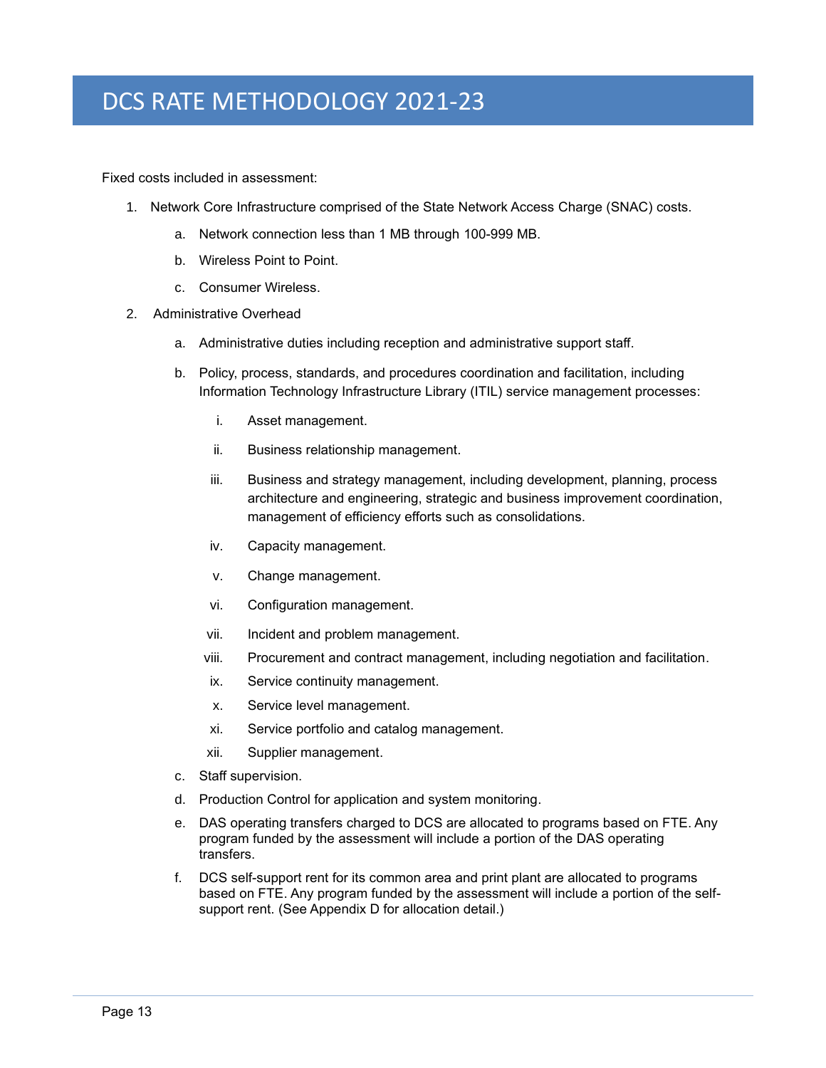Fixed costs included in assessment:

- 1. Network Core Infrastructure comprised of the State Network Access Charge (SNAC) costs.
	- a. Network connection less than 1 MB through 100-999 MB.
	- b. Wireless Point to Point.
	- c. Consumer Wireless.
- 2. Administrative Overhead
	- a. Administrative duties including reception and administrative support staff.
	- b. Policy, process, standards, and procedures coordination and facilitation, including Information Technology Infrastructure Library (ITIL) service management processes:
		- i. Asset management.
		- ii. Business relationship management.
		- iii. Business and strategy management, including development, planning, process architecture and engineering, strategic and business improvement coordination, management of efficiency efforts such as consolidations.
		- iv. Capacity management.
		- v. Change management.
		- vi. Configuration management.
		- vii. Incident and problem management.
		- viii. Procurement and contract management, including negotiation and facilitation.
		- ix. Service continuity management.
		- x. Service level management.
		- xi. Service portfolio and catalog management.
		- xii. Supplier management.
	- c. Staff supervision.
	- d. Production Control for application and system monitoring.
	- e. DAS operating transfers charged to DCS are allocated to programs based on FTE. Any program funded by the assessment will include a portion of the DAS operating transfers.
	- f. DCS self-support rent for its common area and print plant are allocated to programs based on FTE. Any program funded by the assessment will include a portion of the selfsupport rent. (See Appendix D for allocation detail.)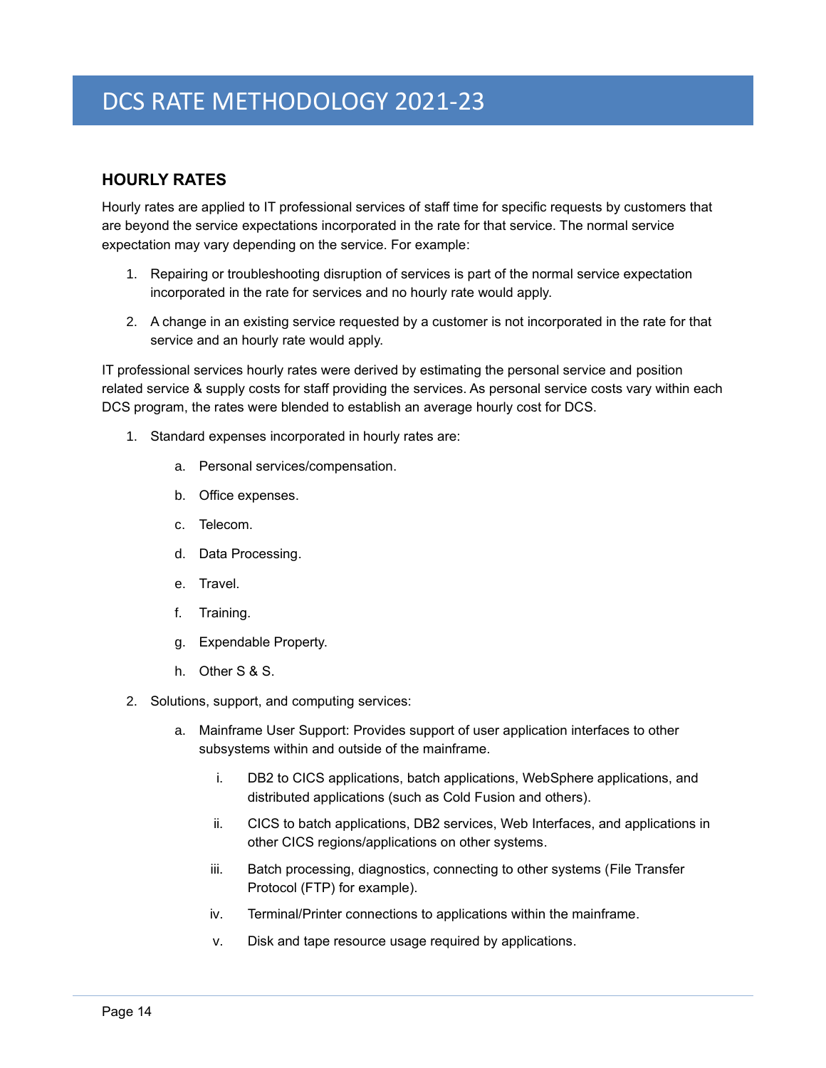# <span id="page-17-0"></span>**HOURLY RATES**

Hourly rates are applied to IT professional services of staff time for specific requests by customers that are beyond the service expectations incorporated in the rate for that service. The normal service expectation may vary depending on the service. For example:

- 1. Repairing or troubleshooting disruption of services is part of the normal service expectation incorporated in the rate for services and no hourly rate would apply.
- 2. A change in an existing service requested by a customer is not incorporated in the rate for that service and an hourly rate would apply.

IT professional services hourly rates were derived by estimating the personal service and position related service & supply costs for staff providing the services. As personal service costs vary within each DCS program, the rates were blended to establish an average hourly cost for DCS.

- 1. Standard expenses incorporated in hourly rates are:
	- a. Personal services/compensation.
	- b. Office expenses.
	- c. Telecom.
	- d. Data Processing.
	- e. Travel.
	- f. Training.
	- g. Expendable Property.
	- h. Other S & S.
- 2. Solutions, support, and computing services:
	- a. Mainframe User Support: Provides support of user application interfaces to other subsystems within and outside of the mainframe.
		- i. DB2 to CICS applications, batch applications, WebSphere applications, and distributed applications (such as Cold Fusion and others).
		- ii. CICS to batch applications, DB2 services, Web Interfaces, and applications in other CICS regions/applications on other systems.
		- iii. Batch processing, diagnostics, connecting to other systems (File Transfer Protocol (FTP) for example).
		- iv. Terminal/Printer connections to applications within the mainframe.
		- v. Disk and tape resource usage required by applications.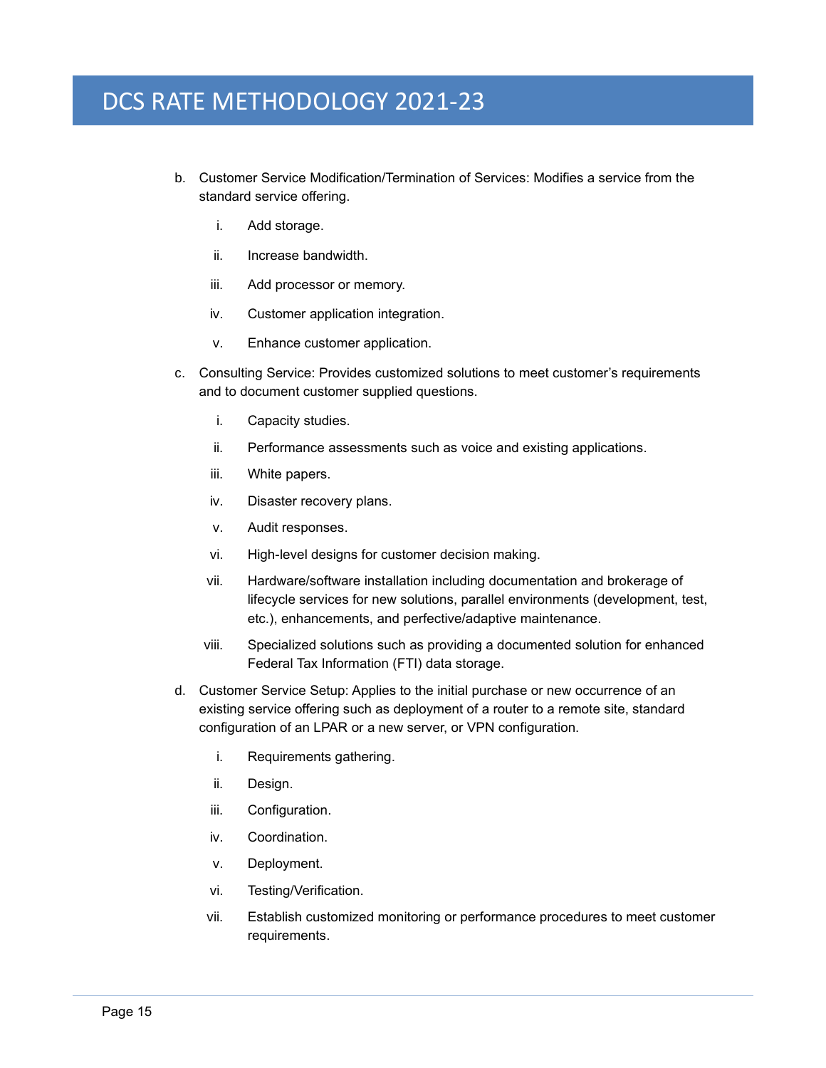- b. Customer Service Modification/Termination of Services: Modifies a service from the standard service offering.
	- i. Add storage.
	- ii. Increase bandwidth.
	- iii. Add processor or memory.
	- iv. Customer application integration.
	- v. Enhance customer application.
- c. Consulting Service: Provides customized solutions to meet customer's requirements and to document customer supplied questions.
	- i. Capacity studies.
	- ii. Performance assessments such as voice and existing applications.
	- iii. White papers.
	- iv. Disaster recovery plans.
	- v. Audit responses.
	- vi. High-level designs for customer decision making.
	- vii. Hardware/software installation including documentation and brokerage of lifecycle services for new solutions, parallel environments (development, test, etc.), enhancements, and perfective/adaptive maintenance.
	- viii. Specialized solutions such as providing a documented solution for enhanced Federal Tax Information (FTI) data storage.
- d. Customer Service Setup: Applies to the initial purchase or new occurrence of an existing service offering such as deployment of a router to a remote site, standard configuration of an LPAR or a new server, or VPN configuration.
	- i. Requirements gathering.
	- ii. Design.
	- iii. Configuration.
	- iv. Coordination.
	- v. Deployment.
	- vi. Testing/Verification.
	- vii. Establish customized monitoring or performance procedures to meet customer requirements.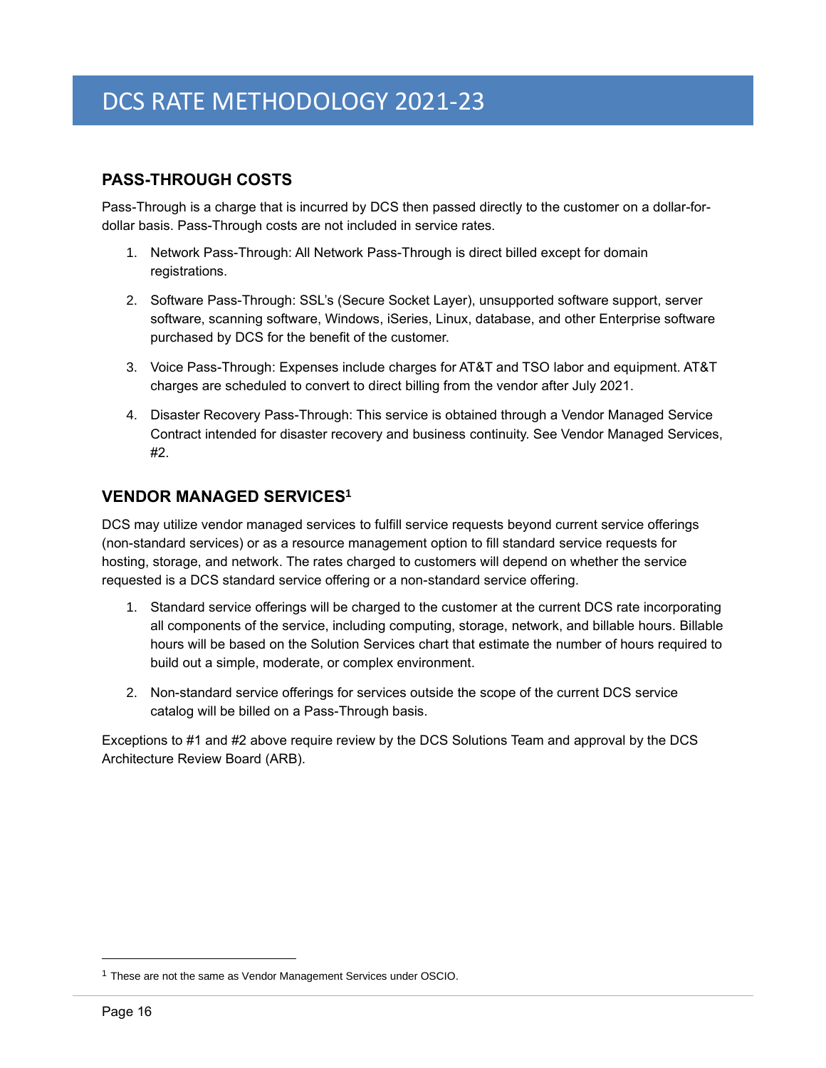# <span id="page-19-0"></span>**PASS-THROUGH COSTS**

Pass-Through is a charge that is incurred by DCS then passed directly to the customer on a dollar-fordollar basis. Pass-Through costs are not included in service rates.

- 1. Network Pass-Through: All Network Pass-Through is direct billed except for domain registrations.
- 2. Software Pass-Through: SSL's (Secure Socket Layer), unsupported software support, server software, scanning software, Windows, iSeries, Linux, database, and other Enterprise software purchased by DCS for the benefit of the customer.
- 3. Voice Pass-Through: Expenses include charges for AT&T and TSO labor and equipment. AT&T charges are scheduled to convert to direct billing from the vendor after July 2021.
- 4. Disaster Recovery Pass-Through: This service is obtained through a Vendor Managed Service Contract intended for disaster recovery and business continuity. See Vendor Managed Services, #2.

# <span id="page-19-1"></span>**VENDOR MANAGED SERVICES<sup>1</sup>**

DCS may utilize vendor managed services to fulfill service requests beyond current service offerings (non-standard services) or as a resource management option to fill standard service requests for hosting, storage, and network. The rates charged to customers will depend on whether the service requested is a DCS standard service offering or a non-standard service offering.

- 1. Standard service offerings will be charged to the customer at the current DCS rate incorporating all components of the service, including computing, storage, network, and billable hours. Billable hours will be based on the Solution Services chart that estimate the number of hours required to build out a simple, moderate, or complex environment.
- 2. Non-standard service offerings for services outside the scope of the current DCS service catalog will be billed on a Pass-Through basis.

Exceptions to #1 and #2 above require review by the DCS Solutions Team and approval by the DCS Architecture Review Board (ARB).

<sup>&</sup>lt;sup>1</sup> These are not the same as Vendor Management Services under OSCIO.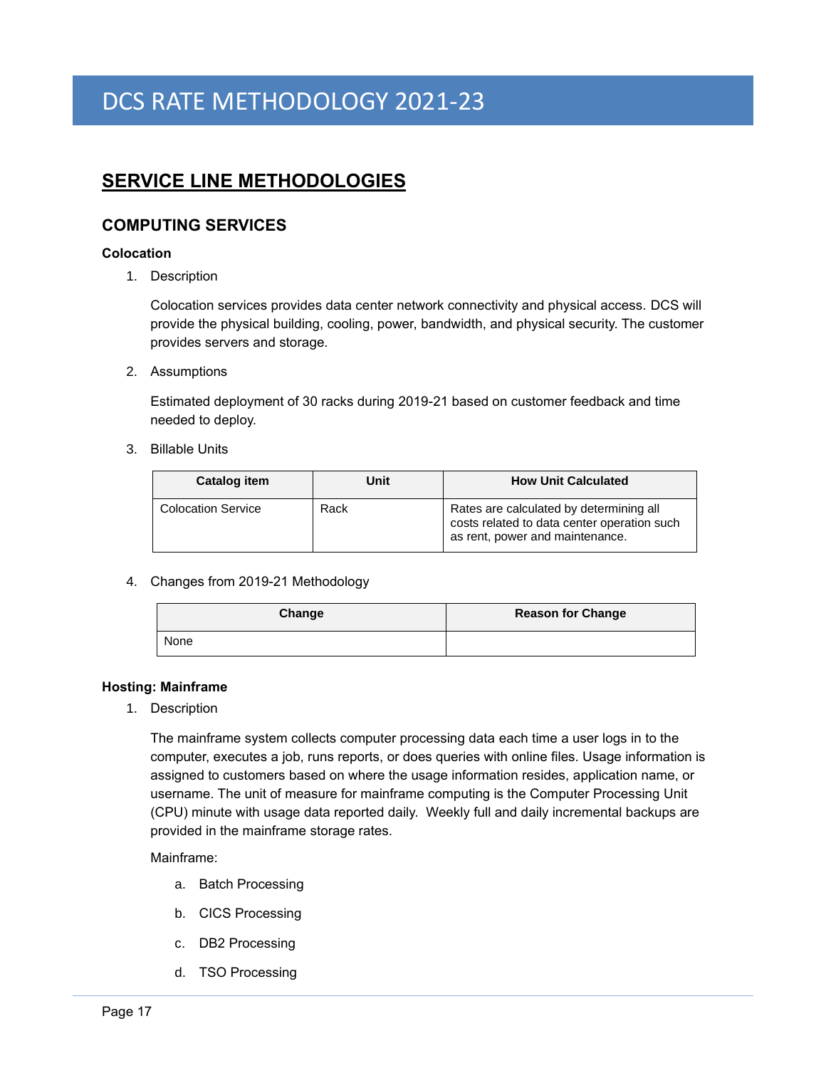# <span id="page-20-0"></span>**SERVICE LINE METHODOLOGIES**

# <span id="page-20-1"></span>**COMPUTING SERVICES**

# <span id="page-20-2"></span>**Colocation**

1. Description

Colocation services provides data center network connectivity and physical access. DCS will provide the physical building, cooling, power, bandwidth, and physical security. The customer provides servers and storage.

2. Assumptions

Estimated deployment of 30 racks during 2019-21 based on customer feedback and time needed to deploy.

3. Billable Units

| Catalog item              | Unit | <b>How Unit Calculated</b>                                                                                                |
|---------------------------|------|---------------------------------------------------------------------------------------------------------------------------|
| <b>Colocation Service</b> | Rack | Rates are calculated by determining all<br>costs related to data center operation such<br>as rent, power and maintenance. |

4. Changes from 2019-21 Methodology

| Change | <b>Reason for Change</b> |
|--------|--------------------------|
| None   |                          |

#### <span id="page-20-3"></span>**Hosting: Mainframe**

1. Description

The mainframe system collects computer processing data each time a user logs in to the computer, executes a job, runs reports, or does queries with online files. Usage information is assigned to customers based on where the usage information resides, application name, or username. The unit of measure for mainframe computing is the Computer Processing Unit (CPU) minute with usage data reported daily. Weekly full and daily incremental backups are provided in the mainframe storage rates.

Mainframe:

- a. Batch Processing
- b. CICS Processing
- c. DB2 Processing
- d. TSO Processing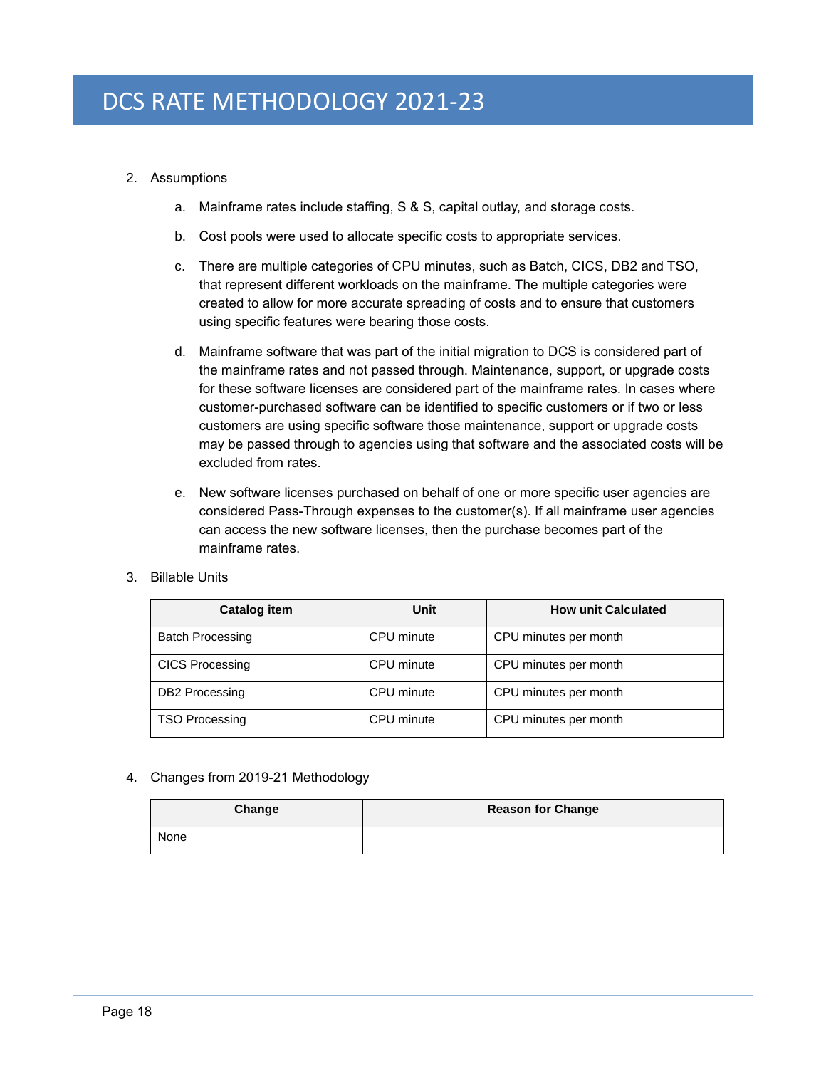# 2. Assumptions

- a. Mainframe rates include staffing, S & S, capital outlay, and storage costs.
- b. Cost pools were used to allocate specific costs to appropriate services.
- c. There are multiple categories of CPU minutes, such as Batch, CICS, DB2 and TSO, that represent different workloads on the mainframe. The multiple categories were created to allow for more accurate spreading of costs and to ensure that customers using specific features were bearing those costs.
- d. Mainframe software that was part of the initial migration to DCS is considered part of the mainframe rates and not passed through. Maintenance, support, or upgrade costs for these software licenses are considered part of the mainframe rates. In cases where customer-purchased software can be identified to specific customers or if two or less customers are using specific software those maintenance, support or upgrade costs may be passed through to agencies using that software and the associated costs will be excluded from rates.
- e. New software licenses purchased on behalf of one or more specific user agencies are considered Pass-Through expenses to the customer(s). If all mainframe user agencies can access the new software licenses, then the purchase becomes part of the mainframe rates.

### 3. Billable Units

| <b>Catalog item</b>     | Unit       | <b>How unit Calculated</b> |
|-------------------------|------------|----------------------------|
| <b>Batch Processing</b> | CPU minute | CPU minutes per month      |
| <b>CICS Processing</b>  | CPU minute | CPU minutes per month      |
| <b>DB2</b> Processing   | CPU minute | CPU minutes per month      |
| <b>TSO Processing</b>   | CPU minute | CPU minutes per month      |

#### 4. Changes from 2019-21 Methodology

| Change | <b>Reason for Change</b> |
|--------|--------------------------|
| None   |                          |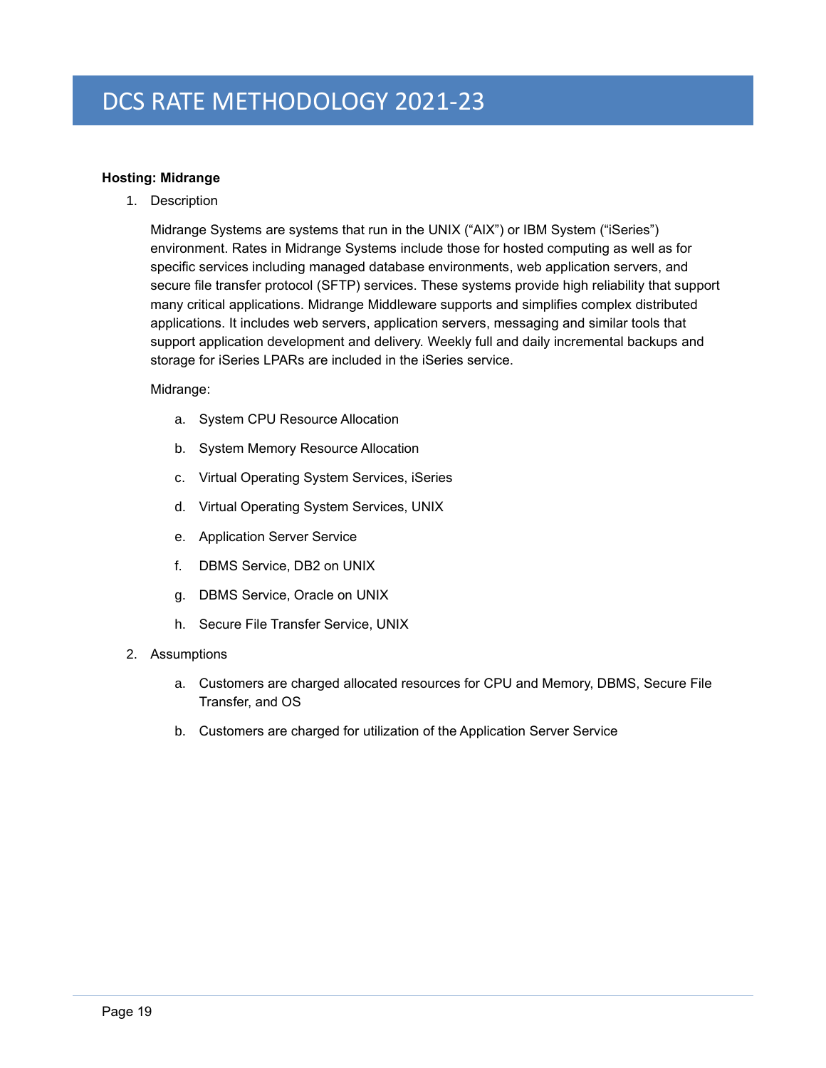# <span id="page-22-0"></span>**Hosting: Midrange**

1. Description

Midrange Systems are systems that run in the UNIX ("AIX") or IBM System ("iSeries") environment. Rates in Midrange Systems include those for hosted computing as well as for specific services including managed database environments, web application servers, and secure file transfer protocol (SFTP) services. These systems provide high reliability that support many critical applications. Midrange Middleware supports and simplifies complex [distributed](http://en.wikipedia.org/wiki/Distributed_application)  [applications.](http://en.wikipedia.org/wiki/Distributed_application) It includes [web servers,](http://en.wikipedia.org/wiki/Web_server) [application servers,](http://en.wikipedia.org/wiki/Application_server) messaging and similar tools that support application development and delivery. Weekly full and daily incremental backups and storage for iSeries LPARs are included in the iSeries service.

### Midrange:

- a. System CPU Resource Allocation
- b. System Memory Resource Allocation
- c. Virtual Operating System Services, iSeries
- d. Virtual Operating System Services, UNIX
- e. Application Server Service
- f. DBMS Service, DB2 on UNIX
- g. DBMS Service, Oracle on UNIX
- h. Secure File Transfer Service, UNIX
- 2. Assumptions
	- a. Customers are charged allocated resources for CPU and Memory, DBMS, Secure File Transfer, and OS
	- b. Customers are charged for utilization of the Application Server Service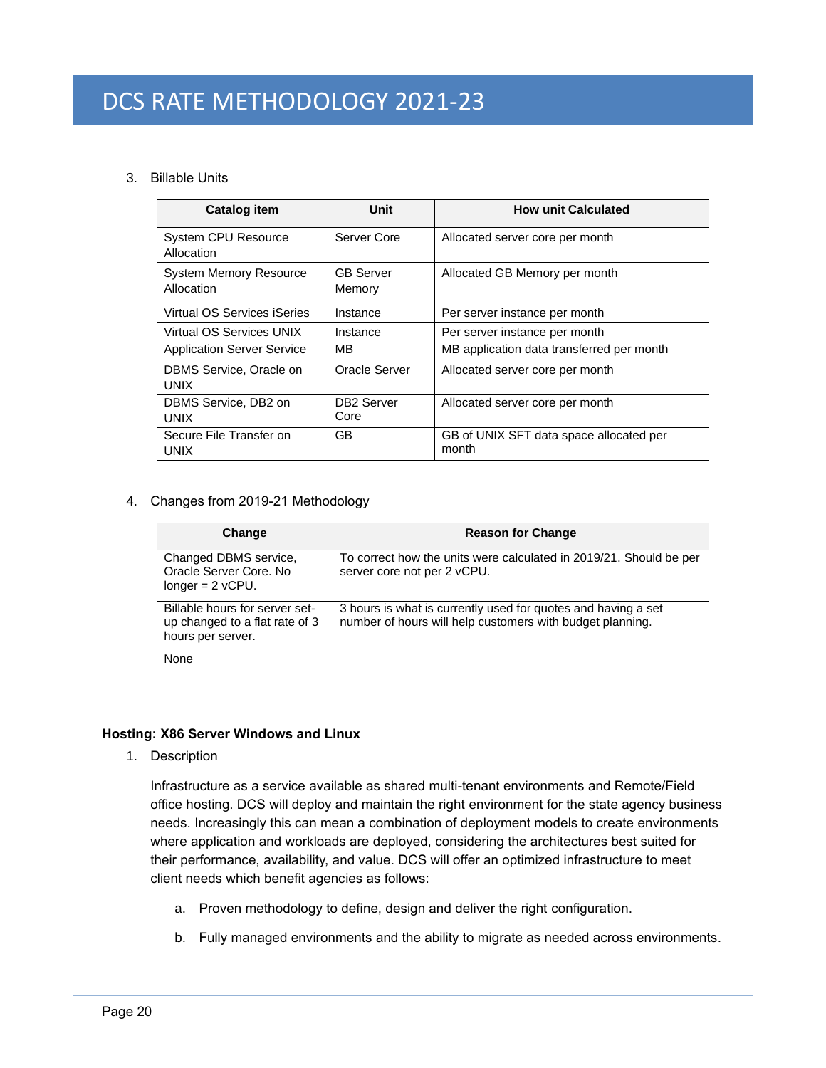# 3. Billable Units

| <b>Catalog item</b>                         | <b>Unit</b>                    | <b>How unit Calculated</b>                       |
|---------------------------------------------|--------------------------------|--------------------------------------------------|
| <b>System CPU Resource</b><br>Allocation    | Server Core                    | Allocated server core per month                  |
| <b>System Memory Resource</b><br>Allocation | <b>GB Server</b><br>Memory     | Allocated GB Memory per month                    |
| Virtual OS Services iSeries                 | Instance                       | Per server instance per month                    |
| Virtual OS Services UNIX                    | Instance                       | Per server instance per month                    |
| <b>Application Server Service</b>           | MВ                             | MB application data transferred per month        |
| DBMS Service, Oracle on<br>UNIX             | Oracle Server                  | Allocated server core per month                  |
| DBMS Service, DB2 on<br>UNIX                | DB <sub>2</sub> Server<br>Core | Allocated server core per month                  |
| Secure File Transfer on<br>UNIX             | GB.                            | GB of UNIX SFT data space allocated per<br>month |

4. Changes from 2019-21 Methodology

| Change                                                                                | <b>Reason for Change</b>                                                                                                   |
|---------------------------------------------------------------------------------------|----------------------------------------------------------------------------------------------------------------------------|
| Changed DBMS service,<br>Oracle Server Core. No<br>$longer = 2$ vCPU.                 | To correct how the units were calculated in 2019/21. Should be per<br>server core not per 2 vCPU.                          |
| Billable hours for server set-<br>up changed to a flat rate of 3<br>hours per server. | 3 hours is what is currently used for quotes and having a set<br>number of hours will help customers with budget planning. |
| None                                                                                  |                                                                                                                            |

# <span id="page-23-0"></span>**Hosting: X86 Server Windows and Linux**

1. Description

Infrastructure as a service available as shared multi-tenant environments and Remote/Field office hosting. DCS will deploy and maintain the right environment for the state agency business needs. Increasingly this can mean a combination of deployment models to create environments where application and workloads are deployed, considering the architectures best suited for their performance, availability, and value. DCS will offer an optimized infrastructure to meet client needs which benefit agencies as follows:

- a. Proven methodology to define, design and deliver the right configuration.
- b. Fully managed environments and the ability to migrate as needed across environments.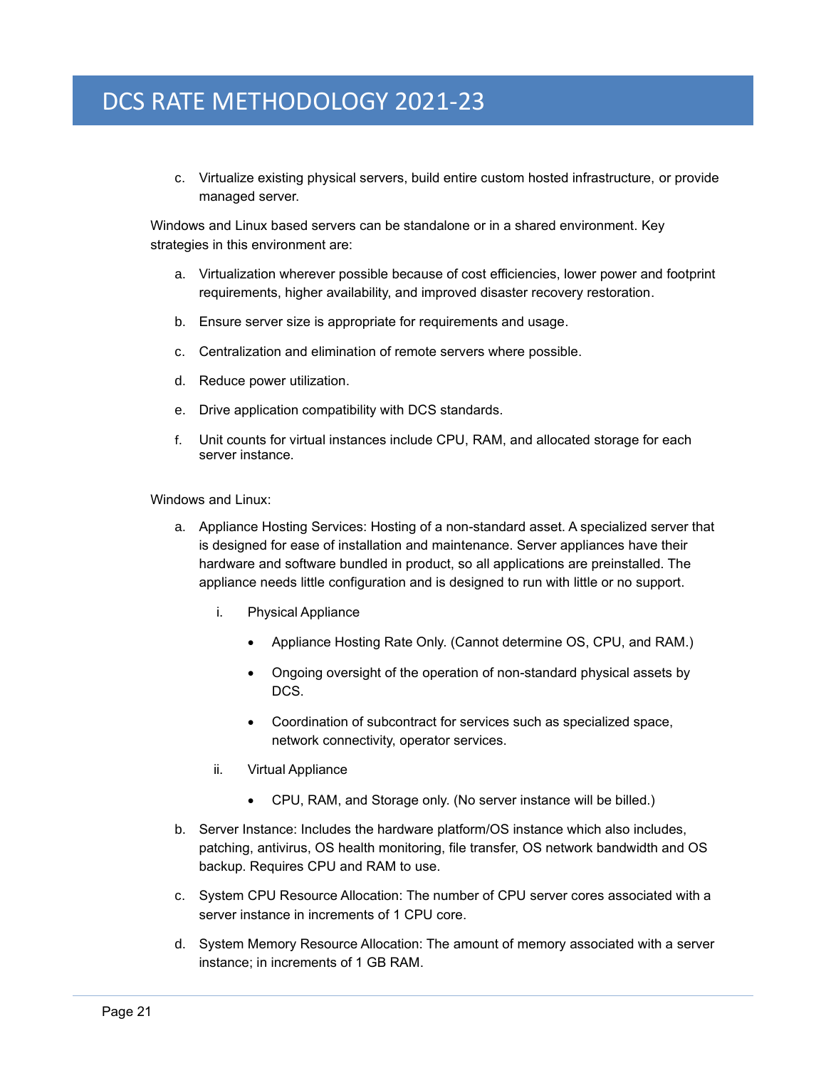c. Virtualize existing physical servers, build entire custom hosted infrastructure, or provide managed server.

Windows and Linux based servers can be standalone or in a shared environment. Key strategies in this environment are:

- a. Virtualization wherever possible because of cost efficiencies, lower power and footprint requirements, higher availability, and improved disaster recovery restoration.
- b. Ensure server size is appropriate for requirements and usage.
- c. Centralization and elimination of remote servers where possible.
- d. Reduce power utilization.
- e. Drive application compatibility with DCS standards.
- f. Unit counts for virtual instances include CPU, RAM, and allocated storage for each server instance.

Windows and Linux:

- a. Appliance Hosting Services: Hosting of a non-standard asset. A specialized server that is designed for ease of installation and maintenance. Server appliances have their hardware and software bundled in product, so all applications are preinstalled. The appliance needs little configuration and is designed to run with little or no support.
	- i. Physical Appliance
		- Appliance Hosting Rate Only. (Cannot determine OS, CPU, and RAM.)
		- Ongoing oversight of the operation of non-standard physical assets by DCS.
		- Coordination of subcontract for services such as specialized space, network connectivity, operator services.
	- ii. Virtual Appliance
		- CPU, RAM, and Storage only. (No server instance will be billed.)
- b. Server Instance: Includes the hardware platform/OS instance which also includes, patching, antivirus, OS health monitoring, file transfer, OS network bandwidth and OS backup. Requires CPU and RAM to use.
- c. System CPU Resource Allocation: The number of CPU server cores associated with a server instance in increments of 1 CPU core.
- d. System Memory Resource Allocation: The amount of memory associated with a server instance; in increments of 1 GB RAM.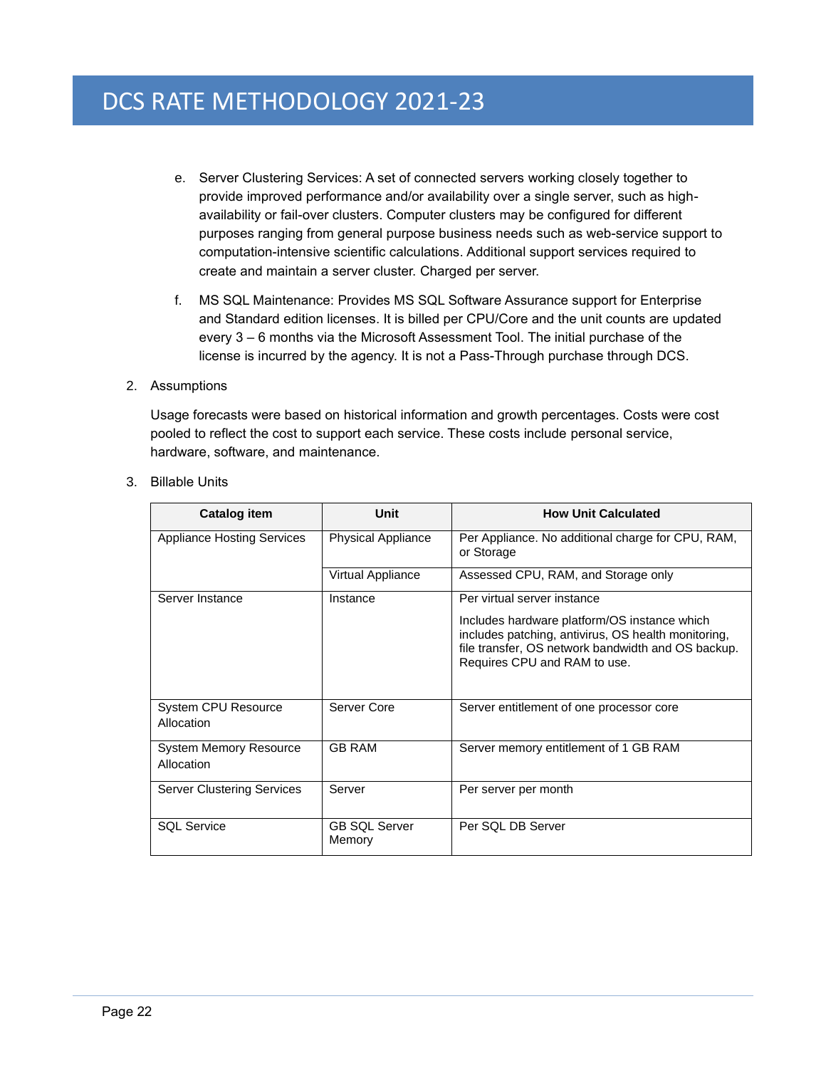- e. Server Clustering Services: A set of connected servers working closely together to provide improved performance and/or availability over a single server, such as highavailability or fail-over clusters. Computer clusters may be configured for different purposes ranging from general purpose business needs such as web-service support to computation-intensive scientific calculations. Additional support services required to create and maintain a server cluster. Charged per server.
- f. MS SQL Maintenance: Provides MS SQL Software Assurance support for Enterprise and Standard edition licenses. It is billed per CPU/Core and the unit counts are updated every 3 – 6 months via the Microsoft Assessment Tool. The initial purchase of the license is incurred by the agency. It is not a Pass-Through purchase through DCS.
- 2. Assumptions

Usage forecasts were based on historical information and growth percentages. Costs were cost pooled to reflect the cost to support each service. These costs include personal service, hardware, software, and maintenance.

| <b>Catalog item</b>                         | Unit                           | <b>How Unit Calculated</b>                                                                                                                                                                                               |
|---------------------------------------------|--------------------------------|--------------------------------------------------------------------------------------------------------------------------------------------------------------------------------------------------------------------------|
| <b>Appliance Hosting Services</b>           | <b>Physical Appliance</b>      | Per Appliance. No additional charge for CPU, RAM,<br>or Storage                                                                                                                                                          |
|                                             | Virtual Appliance              | Assessed CPU, RAM, and Storage only                                                                                                                                                                                      |
| Server Instance                             | Instance                       | Per virtual server instance<br>Includes hardware platform/OS instance which<br>includes patching, antivirus, OS health monitoring,<br>file transfer, OS network bandwidth and OS backup.<br>Requires CPU and RAM to use. |
| System CPU Resource<br>Allocation           | Server Core                    | Server entitlement of one processor core                                                                                                                                                                                 |
| <b>System Memory Resource</b><br>Allocation | <b>GB RAM</b>                  | Server memory entitlement of 1 GB RAM                                                                                                                                                                                    |
| <b>Server Clustering Services</b>           | Server                         | Per server per month                                                                                                                                                                                                     |
| <b>SQL Service</b>                          | <b>GB SQL Server</b><br>Memory | Per SQL DB Server                                                                                                                                                                                                        |

3. Billable Units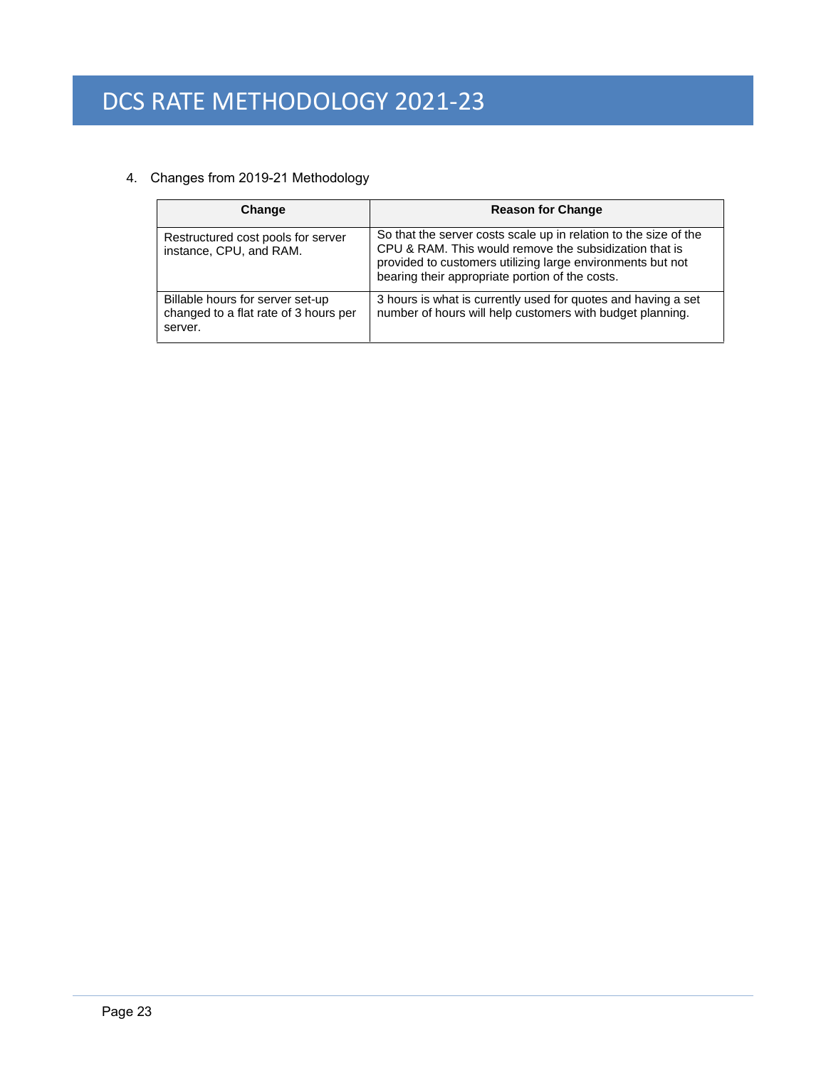# 4. Changes from 2019-21 Methodology

| Change                                                                               | <b>Reason for Change</b>                                                                                                                                                                                                                    |
|--------------------------------------------------------------------------------------|---------------------------------------------------------------------------------------------------------------------------------------------------------------------------------------------------------------------------------------------|
| Restructured cost pools for server<br>instance, CPU, and RAM.                        | So that the server costs scale up in relation to the size of the<br>CPU & RAM. This would remove the subsidization that is<br>provided to customers utilizing large environments but not<br>bearing their appropriate portion of the costs. |
| Billable hours for server set-up<br>changed to a flat rate of 3 hours per<br>server. | 3 hours is what is currently used for quotes and having a set<br>number of hours will help customers with budget planning.                                                                                                                  |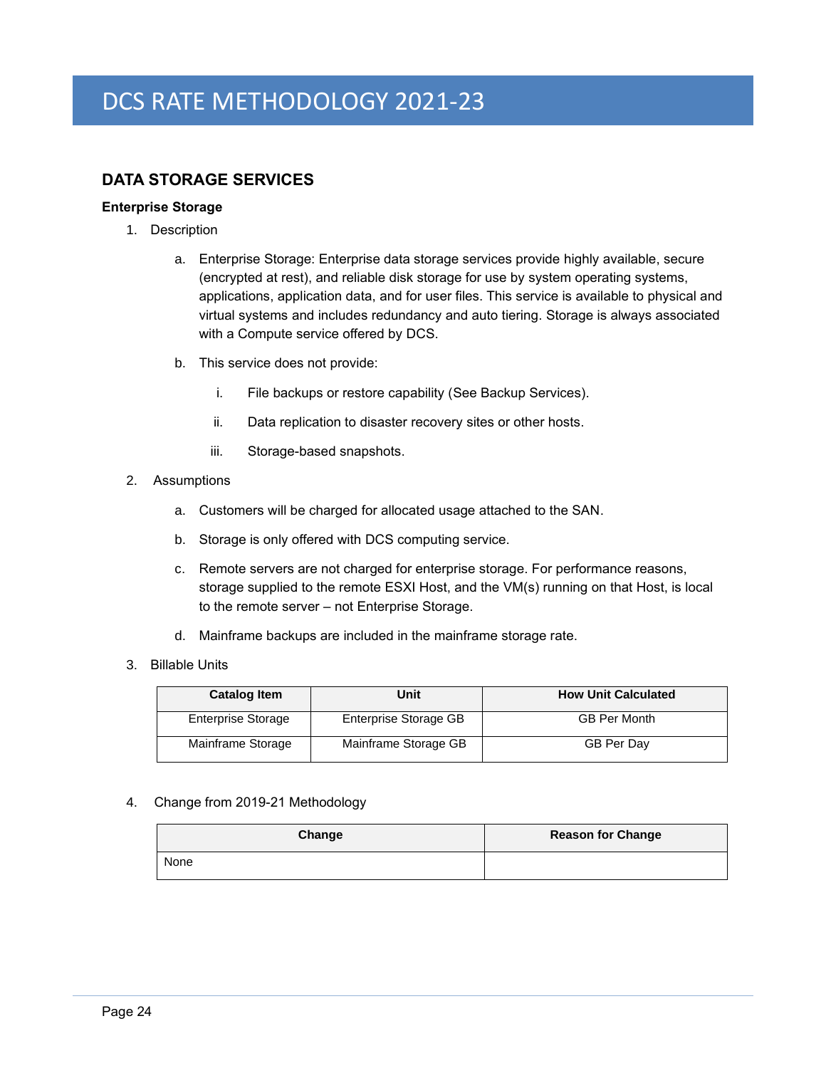# <span id="page-27-0"></span>**DATA STORAGE SERVICES**

# <span id="page-27-1"></span>**Enterprise Storage**

- 1. Description
	- a. Enterprise Storage: Enterprise data storage services provide highly available, secure (encrypted at rest), and reliable disk storage for use by system operating systems, applications, application data, and for user files. This service is available to physical and virtual systems and includes redundancy and auto tiering. Storage is always associated with a Compute service offered by DCS.
	- b. This service does not provide:
		- i. File backups or restore capability (See Backup Services).
		- ii. Data replication to disaster recovery sites or other hosts.
		- iii. Storage-based snapshots.
- 2. Assumptions
	- a. Customers will be charged for allocated usage attached to the SAN.
	- b. Storage is only offered with DCS computing service.
	- c. Remote servers are not charged for enterprise storage. For performance reasons, storage supplied to the remote ESXI Host, and the VM(s) running on that Host, is local to the remote server – not Enterprise Storage.
	- d. Mainframe backups are included in the mainframe storage rate.
- 3. Billable Units

| <b>Catalog Item</b>       | Unit                  | <b>How Unit Calculated</b> |
|---------------------------|-----------------------|----------------------------|
| <b>Enterprise Storage</b> | Enterprise Storage GB | <b>GB Per Month</b>        |
| Mainframe Storage         | Mainframe Storage GB  | <b>GB Per Day</b>          |

#### 4. Change from 2019-21 Methodology

| Change | <b>Reason for Change</b> |
|--------|--------------------------|
| None   |                          |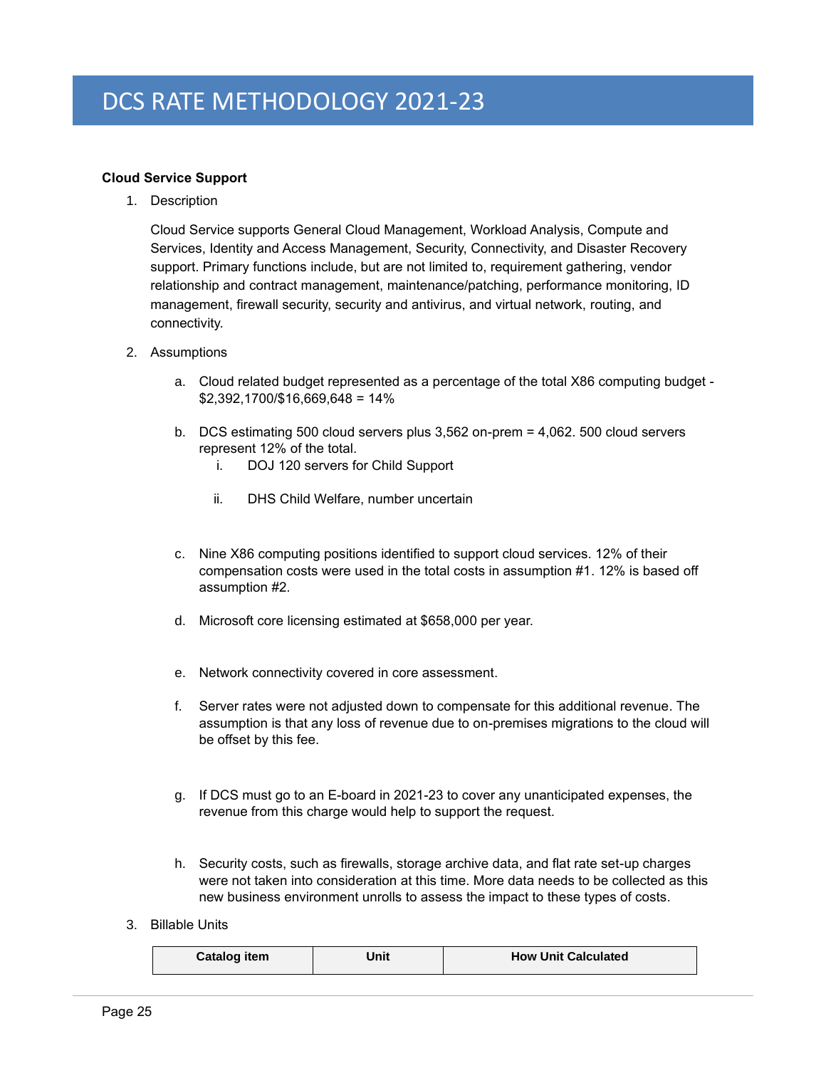# <span id="page-28-0"></span>**Cloud Service Support**

1. Description

Cloud Service supports General Cloud Management, Workload Analysis, Compute and Services, Identity and Access Management, Security, Connectivity, and Disaster Recovery support. Primary functions include, but are not limited to, requirement gathering, vendor relationship and contract management, maintenance/patching, performance monitoring, ID management, firewall security, security and antivirus, and virtual network, routing, and connectivity.

- 2. Assumptions
	- a. Cloud related budget represented as a percentage of the total X86 computing budget \$2,392,1700/\$16,669,648 = 14%
	- b. DCS estimating 500 cloud servers plus 3,562 on-prem = 4,062. 500 cloud servers represent 12% of the total.
		- i. DOJ 120 servers for Child Support
		- ii. DHS Child Welfare, number uncertain
	- c. Nine X86 computing positions identified to support cloud services. 12% of their compensation costs were used in the total costs in assumption #1. 12% is based off assumption #2.
	- d. Microsoft core licensing estimated at \$658,000 per year.
	- e. Network connectivity covered in core assessment.
	- f. Server rates were not adjusted down to compensate for this additional revenue. The assumption is that any loss of revenue due to on-premises migrations to the cloud will be offset by this fee.
	- g. If DCS must go to an E-board in 2021-23 to cover any unanticipated expenses, the revenue from this charge would help to support the request.
	- h. Security costs, such as firewalls, storage archive data, and flat rate set-up charges were not taken into consideration at this time. More data needs to be collected as this new business environment unrolls to assess the impact to these types of costs.
- 3. Billable Units

| Catalog item | Unit | <b>How Unit Calculated</b> |
|--------------|------|----------------------------|
|--------------|------|----------------------------|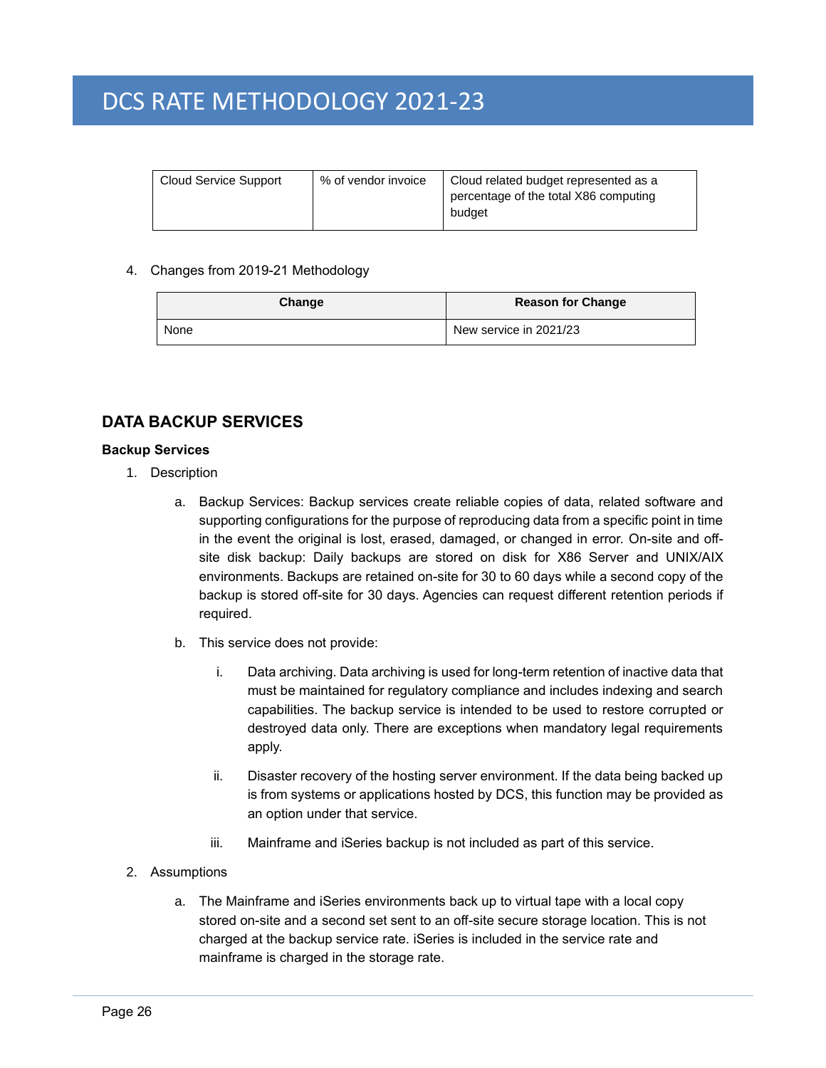| Cloud Service Support<br>% of vendor invoice | Cloud related budget represented as a<br>percentage of the total X86 computing<br>budget |
|----------------------------------------------|------------------------------------------------------------------------------------------|
|----------------------------------------------|------------------------------------------------------------------------------------------|

#### 4. Changes from 2019-21 Methodology

| Change | <b>Reason for Change</b> |
|--------|--------------------------|
| None   | New service in 2021/23   |

# <span id="page-29-0"></span>**DATA BACKUP SERVICES**

### <span id="page-29-1"></span>**Backup Services**

- 1. Description
	- a. Backup Services: Backup services create reliable copies of data, related software and supporting configurations for the purpose of reproducing data from a specific point in time in the event the original is lost, erased, damaged, or changed in error. On-site and offsite disk backup: Daily backups are stored on disk for X86 Server and UNIX/AIX environments. Backups are retained on-site for 30 to 60 days while a second copy of the backup is stored off-site for 30 days. Agencies can request different retention periods if required.
	- b. This service does not provide:
		- i. Data archiving. Data archiving is used for long-term retention of inactive data that must be maintained for regulatory compliance and includes indexing and search capabilities. The backup service is intended to be used to restore corrupted or destroyed data only. There are exceptions when mandatory legal requirements apply.
		- ii. Disaster recovery of the hosting server environment. If the data being backed up is from systems or applications hosted by DCS, this function may be provided as an option under that service.
		- iii. Mainframe and iSeries backup is not included as part of this service.
- 2. Assumptions
	- a. The Mainframe and iSeries environments back up to virtual tape with a local copy stored on-site and a second set sent to an off-site secure storage location. This is not charged at the backup service rate. iSeries is included in the service rate and mainframe is charged in the storage rate.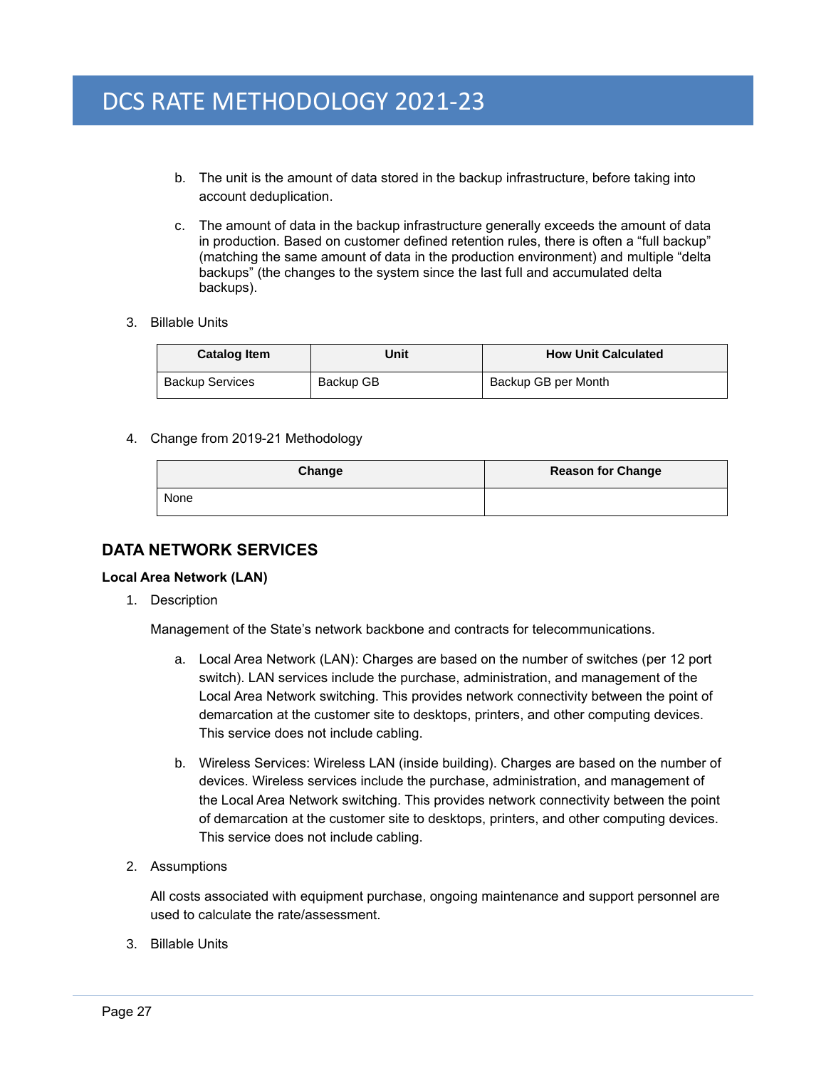- b. The unit is the amount of data stored in the backup infrastructure, before taking into account deduplication.
- c. The amount of data in the backup infrastructure generally exceeds the amount of data in production. Based on customer defined retention rules, there is often a "full backup" (matching the same amount of data in the production environment) and multiple "delta backups" (the changes to the system since the last full and accumulated delta backups).
- 3. Billable Units

| <b>Catalog Item</b>    | Unit      | <b>How Unit Calculated</b> |
|------------------------|-----------|----------------------------|
| <b>Backup Services</b> | Backup GB | Backup GB per Month        |

### 4. Change from 2019-21 Methodology

| Change | <b>Reason for Change</b> |
|--------|--------------------------|
| None   |                          |

# <span id="page-30-0"></span>**DATA NETWORK SERVICES**

#### <span id="page-30-1"></span>**Local Area Network (LAN)**

1. Description

Management of the State's network backbone and contracts for telecommunications.

- a. Local Area Network (LAN): Charges are based on the number of switches (per 12 port switch). LAN services include the purchase, administration, and management of the Local Area Network switching. This provides network connectivity between the point of demarcation at the customer site to desktops, printers, and other computing devices. This service does not include cabling.
- b. Wireless Services: Wireless LAN (inside building). Charges are based on the number of devices. Wireless services include the purchase, administration, and management of the Local Area Network switching. This provides network connectivity between the point of demarcation at the customer site to desktops, printers, and other computing devices. This service does not include cabling.
- 2. Assumptions

All costs associated with equipment purchase, ongoing maintenance and support personnel are used to calculate the rate/assessment.

3. Billable Units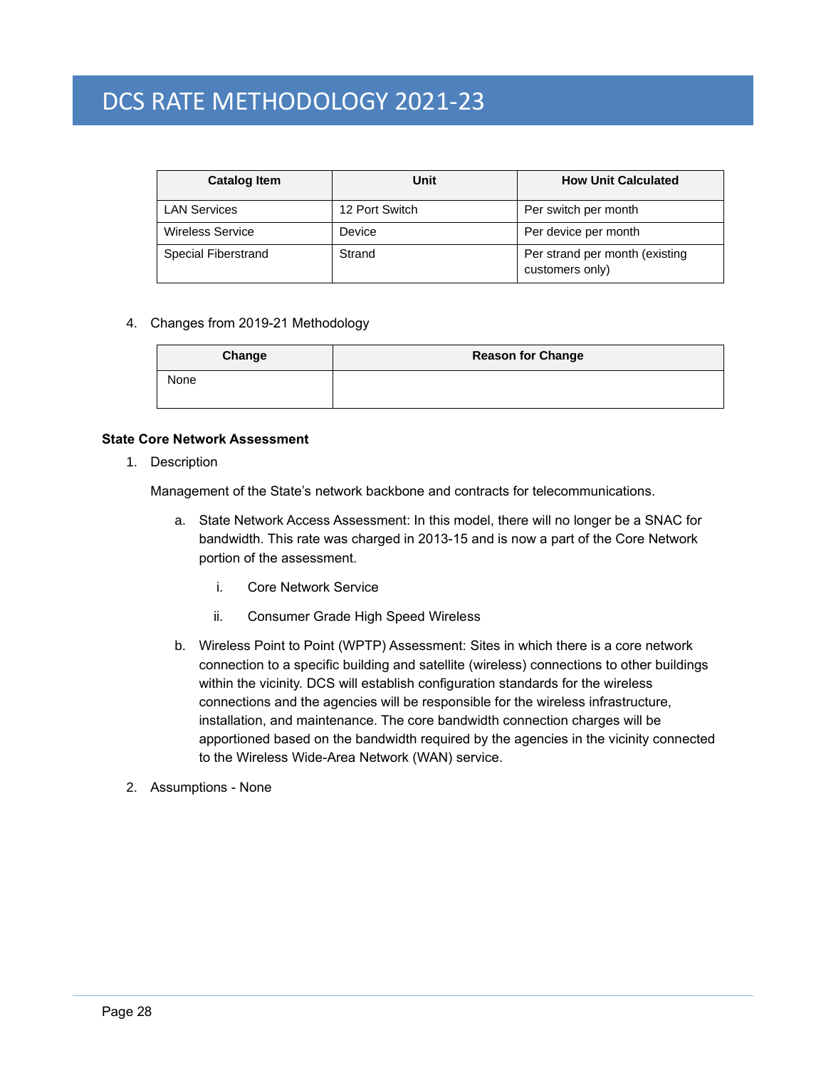| <b>Catalog Item</b>     | <b>Unit</b>    | <b>How Unit Calculated</b>                        |
|-------------------------|----------------|---------------------------------------------------|
| <b>LAN Services</b>     | 12 Port Switch | Per switch per month                              |
| <b>Wireless Service</b> | Device         | Per device per month                              |
| Special Fiberstrand     | Strand         | Per strand per month (existing<br>customers only) |

#### 4. Changes from 2019-21 Methodology

| Change | <b>Reason for Change</b> |
|--------|--------------------------|
| None   |                          |

#### <span id="page-31-0"></span>**State Core Network Assessment**

1. Description

Management of the State's network backbone and contracts for telecommunications.

- a. State Network Access Assessment: In this model, there will no longer be a SNAC for bandwidth. This rate was charged in 2013-15 and is now a part of the Core Network portion of the assessment.
	- i. Core Network Service
	- ii. Consumer Grade High Speed Wireless
- b. Wireless Point to Point (WPTP) Assessment: Sites in which there is a core network connection to a specific building and satellite (wireless) connections to other buildings within the vicinity. DCS will establish configuration standards for the wireless connections and the agencies will be responsible for the wireless infrastructure, installation, and maintenance. The core bandwidth connection charges will be apportioned based on the bandwidth required by the agencies in the vicinity connected to the Wireless Wide-Area Network (WAN) service.
- 2. Assumptions None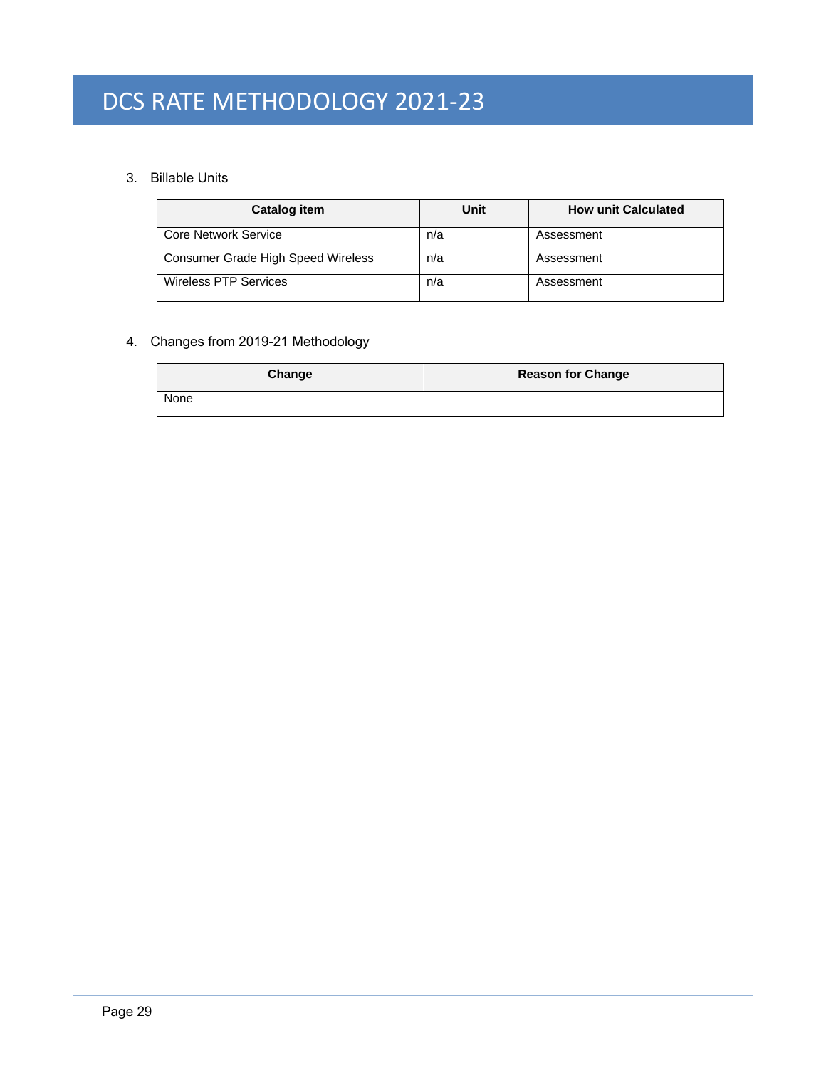# 3. Billable Units

| Catalog item                       | Unit | <b>How unit Calculated</b> |
|------------------------------------|------|----------------------------|
| Core Network Service               | n/a  | Assessment                 |
| Consumer Grade High Speed Wireless | n/a  | Assessment                 |
| Wireless PTP Services              | n/a  | Assessment                 |

# 4. Changes from 2019-21 Methodology

| Change | <b>Reason for Change</b> |
|--------|--------------------------|
| None   |                          |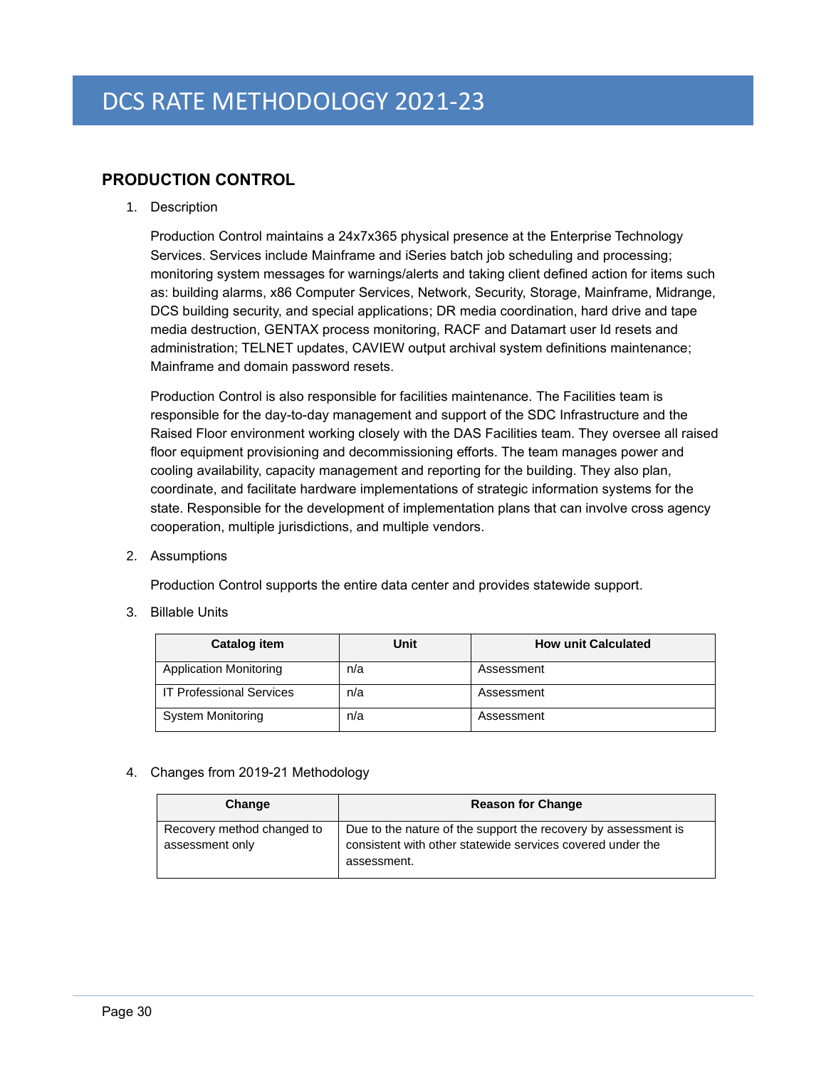# <span id="page-33-0"></span>**PRODUCTION CONTROL**

1. Description

Production Control maintains a 24x7x365 physical presence at the Enterprise Technology Services. Services include Mainframe and iSeries batch job scheduling and processing; monitoring system messages for warnings/alerts and taking client defined action for items such as: building alarms, x86 Computer Services, Network, Security, Storage, Mainframe, Midrange, DCS building security, and special applications; DR media coordination, hard drive and tape media destruction, GENTAX process monitoring, RACF and Datamart user Id resets and administration; TELNET updates, CAVIEW output archival system definitions maintenance; Mainframe and domain password resets.

Production Control is also responsible for facilities maintenance. The Facilities team is responsible for the day-to-day management and support of the SDC Infrastructure and the Raised Floor environment working closely with the DAS Facilities team. They oversee all raised floor equipment provisioning and decommissioning efforts. The team manages power and cooling availability, capacity management and reporting for the building. They also plan, coordinate, and facilitate hardware implementations of strategic information systems for the state. Responsible for the development of implementation plans that can involve cross agency cooperation, multiple jurisdictions, and multiple vendors.

2. Assumptions

Production Control supports the entire data center and provides statewide support.

3. Billable Units

| Catalog item                    | Unit | <b>How unit Calculated</b> |
|---------------------------------|------|----------------------------|
| <b>Application Monitoring</b>   | n/a  | Assessment                 |
| <b>IT Professional Services</b> | n/a  | Assessment                 |
| <b>System Monitoring</b>        | n/a  | Assessment                 |

# 4. Changes from 2019-21 Methodology

| Change                                        | <b>Reason for Change</b>                                                                                                                    |
|-----------------------------------------------|---------------------------------------------------------------------------------------------------------------------------------------------|
| Recovery method changed to<br>assessment only | Due to the nature of the support the recovery by assessment is<br>consistent with other statewide services covered under the<br>assessment. |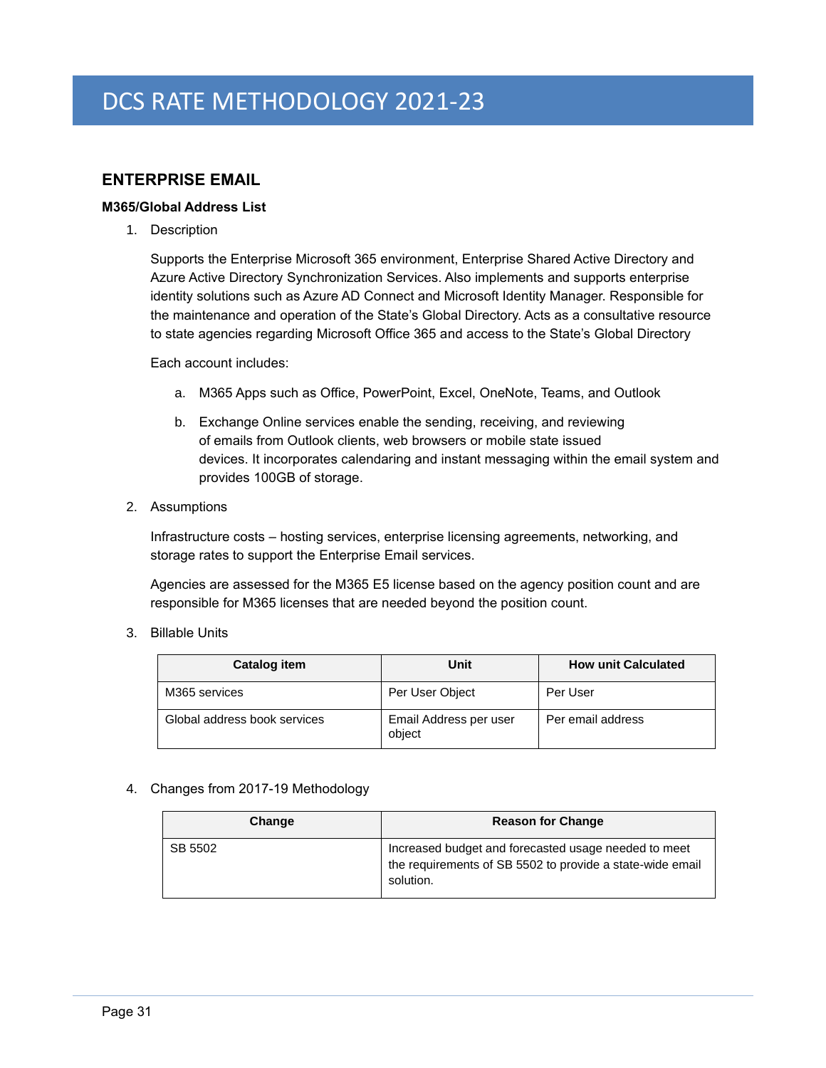# <span id="page-34-0"></span>**ENTERPRISE EMAIL**

# <span id="page-34-1"></span>**M365/Global Address List**

1. Description

Supports the Enterprise Microsoft 365 environment, Enterprise Shared Active Directory and Azure Active Directory Synchronization Services. Also implements and supports enterprise identity solutions such as Azure AD Connect and Microsoft Identity Manager. Responsible for the maintenance and operation of the State's Global Directory. Acts as a consultative resource to state agencies regarding Microsoft Office 365 and access to the State's Global Directory

Each account includes:

- a. M365 Apps such as Office, PowerPoint, Excel, OneNote, Teams, and Outlook
- b. Exchange Online services enable the sending, receiving, and reviewing of emails from Outlook clients, web browsers or mobile state issued devices. It incorporates calendaring and instant messaging within the email system and provides 100GB of storage.
- 2. Assumptions

Infrastructure costs – hosting services, enterprise licensing agreements, networking, and storage rates to support the Enterprise Email services.

Agencies are assessed for the M365 E5 license based on the agency position count and are responsible for M365 licenses that are needed beyond the position count.

3. Billable Units

| Catalog item                 | Unit                             | <b>How unit Calculated</b> |
|------------------------------|----------------------------------|----------------------------|
| M365 services                | Per User Object                  | Per User                   |
| Global address book services | Email Address per user<br>object | Per email address          |

#### 4. Changes from 2017-19 Methodology

| Change  | <b>Reason for Change</b>                                                                                                       |
|---------|--------------------------------------------------------------------------------------------------------------------------------|
| SB 5502 | Increased budget and forecasted usage needed to meet<br>the requirements of SB 5502 to provide a state-wide email<br>solution. |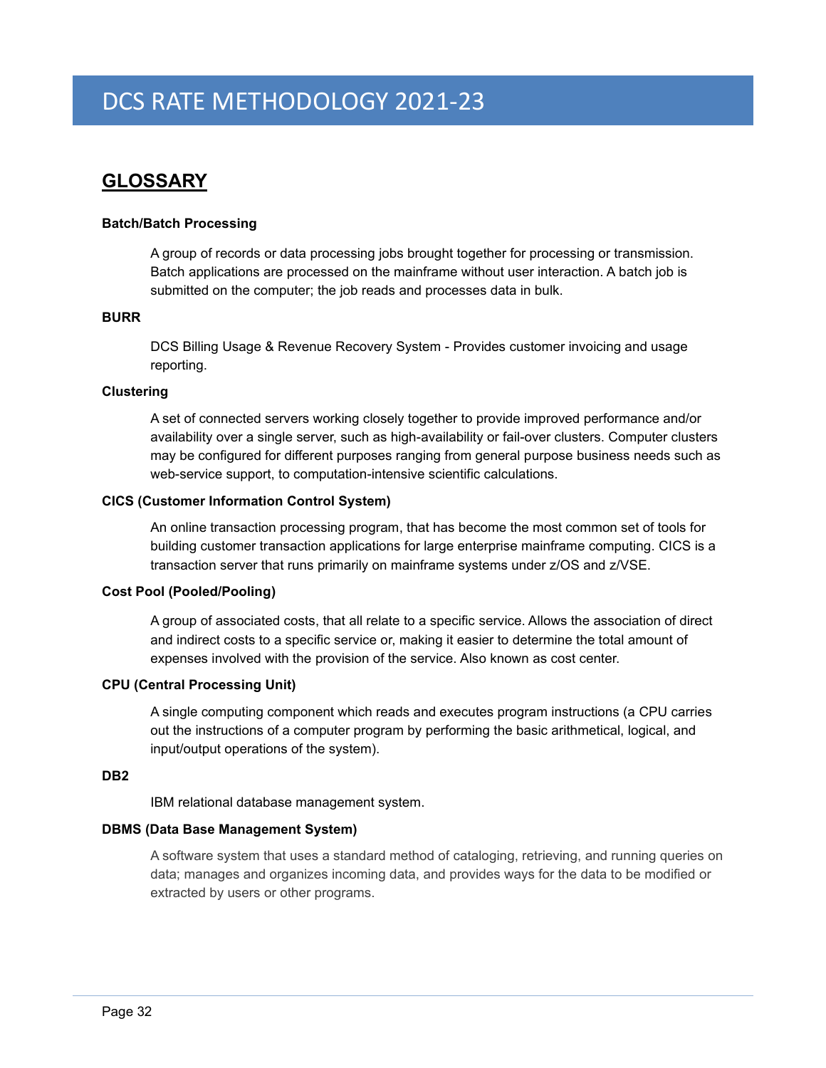# <span id="page-35-0"></span>**GLOSSARY**

### **Batch/Batch Processing**

A group of records or data processing jobs brought together for processing or transmission. Batch applications are processed on the mainframe without user interaction. A batch job is submitted on the computer; the job reads and processes data in bulk.

#### **BURR**

DCS Billing Usage & Revenue Recovery System - Provides customer invoicing and usage reporting.

### **Clustering**

A set of connected servers working closely together to provide improved performance and/or availability over a single server, such as high-availability or fail-over clusters. Computer clusters may be configured for different purposes ranging from general purpose business needs such as web-service support, to computation-intensive scientific calculations.

### **CICS (Customer Information Control System)**

An online transaction processing program, that has become the most common set of tools for building customer transaction applications for large enterprise mainframe computing. CICS is a transaction server that runs primarily on mainframe systems under z/OS and z/VSE.

#### **Cost Pool (Pooled/Pooling)**

A group of associated costs, that all relate to a specific service. Allows the association of direct and indirect costs to a specific service or, making it easier to determine the total amount of expenses involved with the provision of the service. Also known as cost center.

#### **CPU (Central Processing Unit)**

A single computing component which reads and executes program instructions (a CPU carries out the [instructions](http://en.wikipedia.org/wiki/Instruction_(computer_science)) of a [computer program](http://en.wikipedia.org/wiki/Computer_program) by performing the basic arithmetical, logical, and [input/output](http://en.wikipedia.org/wiki/Input/output) operations of the system).

### **DB2**

IBM relational database management system.

#### **DBMS (Data Base Management System)**

A software system that uses a standard method of cataloging, retrieving, and running queries on data; manages and organizes incoming data, and provides ways for the data to be modified or extracted by users or other programs.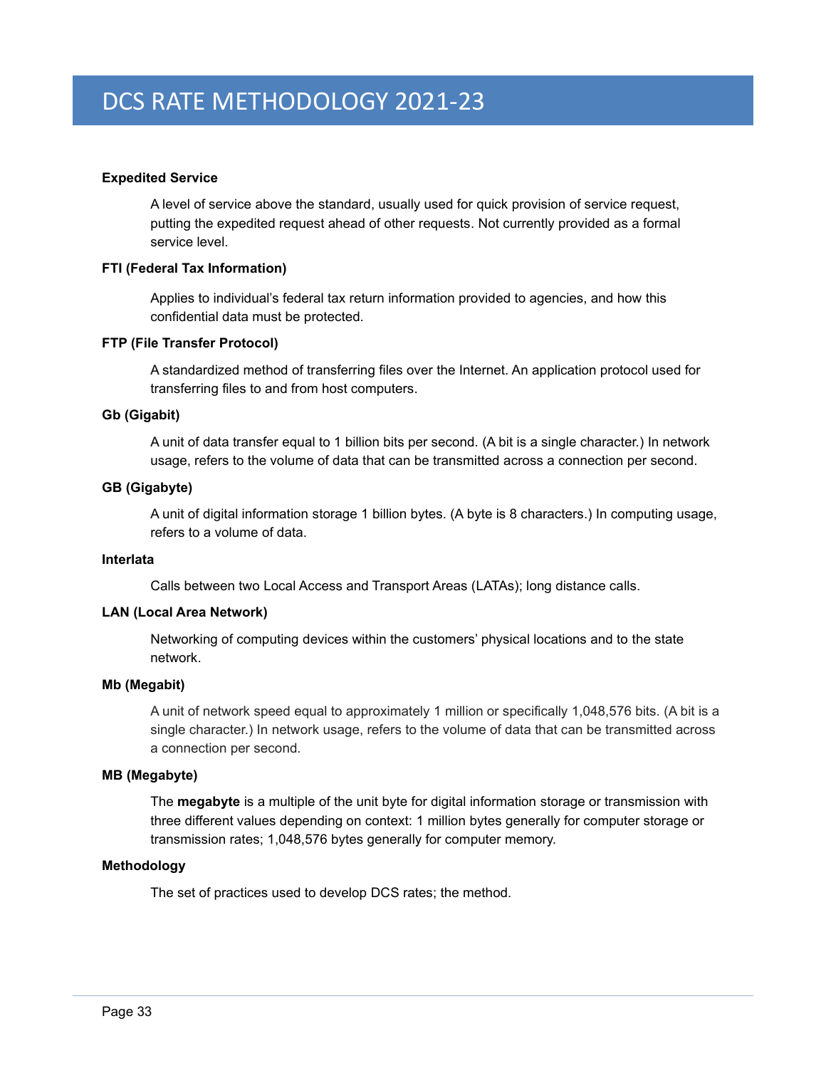### **Expedited Service**

A level of service above the standard, usually used for quick provision of service request, putting the expedited request ahead of other requests. Not currently provided as a formal service level.

#### **FTI (Federal Tax Information)**

Applies to individual's federal tax return information provided to agencies, and how this confidential data must be protected.

### **FTP (File Transfer Protocol)**

A standardized method of transferring files over the Internet. An application protocol used for transferring files to and from host computers.

### **Gb (Gigabit)**

A unit of data transfer equal to 1 billion bits per second. (A bit is a single character.) In network usage, refers to the volume of data that can be transmitted across a connection per second.

### **GB (Gigabyte)**

A unit of [digital information storage](http://en.wikipedia.org/wiki/Computer_data_storage) 1 billion bytes. (A byte is 8 characters.) In computing usage, refers to a volume of data.

#### **Interlata**

Calls between two Local Access and Transport Areas (LATAs); long distance calls.

# **LAN (Local Area Network)**

Networking of computing devices within the customers' physical locations and to the state network.

#### **Mb (Megabit)**

A unit of network speed equal to approximately 1 million or specifically 1,048,576 bits. (A bit is a single character.) In network usage, refers to the volume of data that can be transmitted across a connection per second.

# **MB (Megabyte)**

The **megabyte** is a multiple of the unit [byte](http://en.wikipedia.org/wiki/Byte) for digital information [storage](http://en.wikipedia.org/wiki/Computer_storage) or transmission with three different values depending on context: 1 million [bytes](http://en.wikipedia.org/wiki/Byte) generally for computer storage or transmission rates; 1,048,576 bytes generally for computer memory.

#### **Methodology**

The set of practices used to develop DCS rates; the method.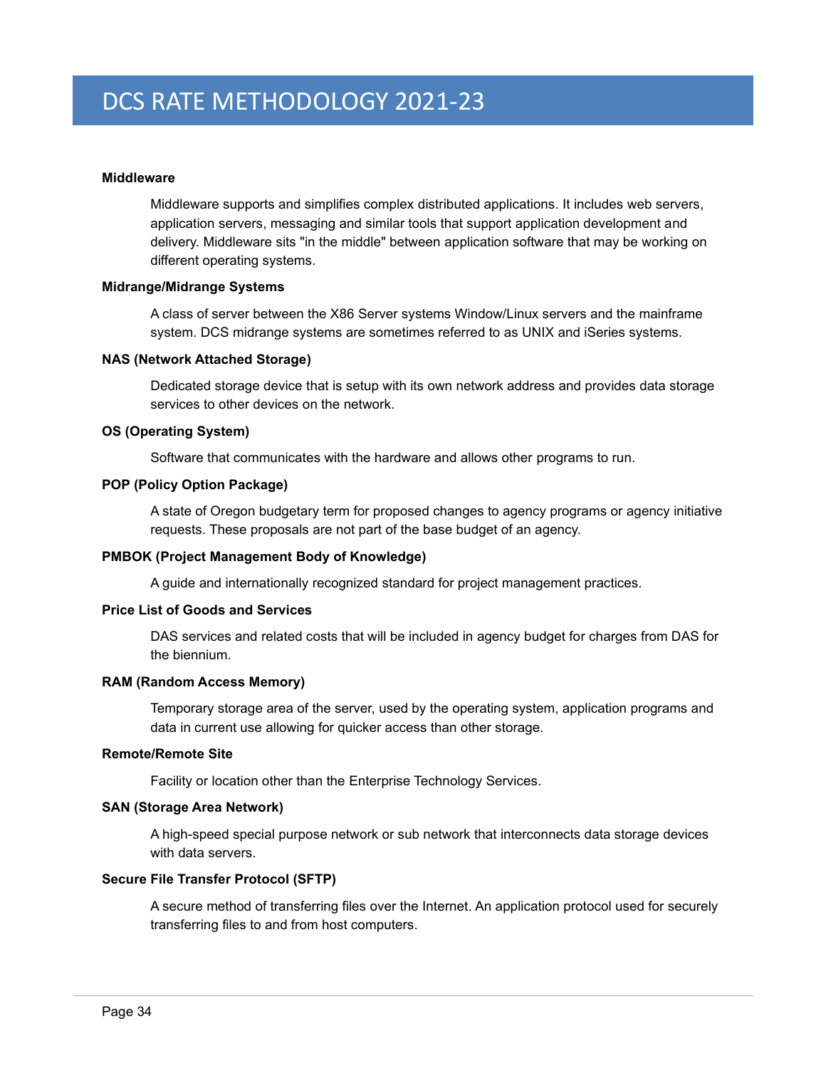#### **Middleware**

Middleware supports and simplifies complex [distributed applications.](http://en.wikipedia.org/wiki/Distributed_application) It includes [web servers,](http://en.wikipedia.org/wiki/Web_server) [application servers,](http://en.wikipedia.org/wiki/Application_server) messaging and similar tools that support application development and delivery. Middleware sits "in the middle" between [application software](http://en.wikipedia.org/wiki/Application_software) that may be working on different [operating systems.](http://en.wikipedia.org/wiki/Operating_system)

### **Midrange/Midrange Systems**

A class of server between the X86 Server systems Window/Linux servers and the mainframe system. DCS midrange systems are sometimes referred to as UNIX and iSeries systems.

#### **NAS (Network Attached Storage)**

Dedicated storage device that is setup with its own network address and provides data storage services to other devices on the network.

# **OS (Operating System)**

Software that communicates with the hardware and allows other programs to run.

### **POP (Policy Option Package)**

A state of Oregon budgetary term for proposed changes to agency programs or agency initiative requests. These proposals are not part of the base budget of an agency.

# **PMBOK (Project Management Body of Knowledge)**

A guide and internationally recognized standard for project management practices.

### **Price List of Goods and Services**

DAS services and related costs that will be included in agency budget for charges from DAS for the biennium.

#### **RAM (Random Access Memory)**

Temporary storage area of the server, used by the operating system, application programs and data in current use allowing for quicker access than other storage.

# **Remote/Remote Site**

Facility or location other than the Enterprise Technology Services.

### **SAN (Storage Area Network)**

A high-speed special purpose [network](http://searchnetworking.techtarget.com/definition/network) or sub network that interconnects data storage devices with data servers.

#### **Secure File Transfer Protocol (SFTP)**

A secure method of transferring files over the Internet. An application protocol used for securely transferring files to and from host computers.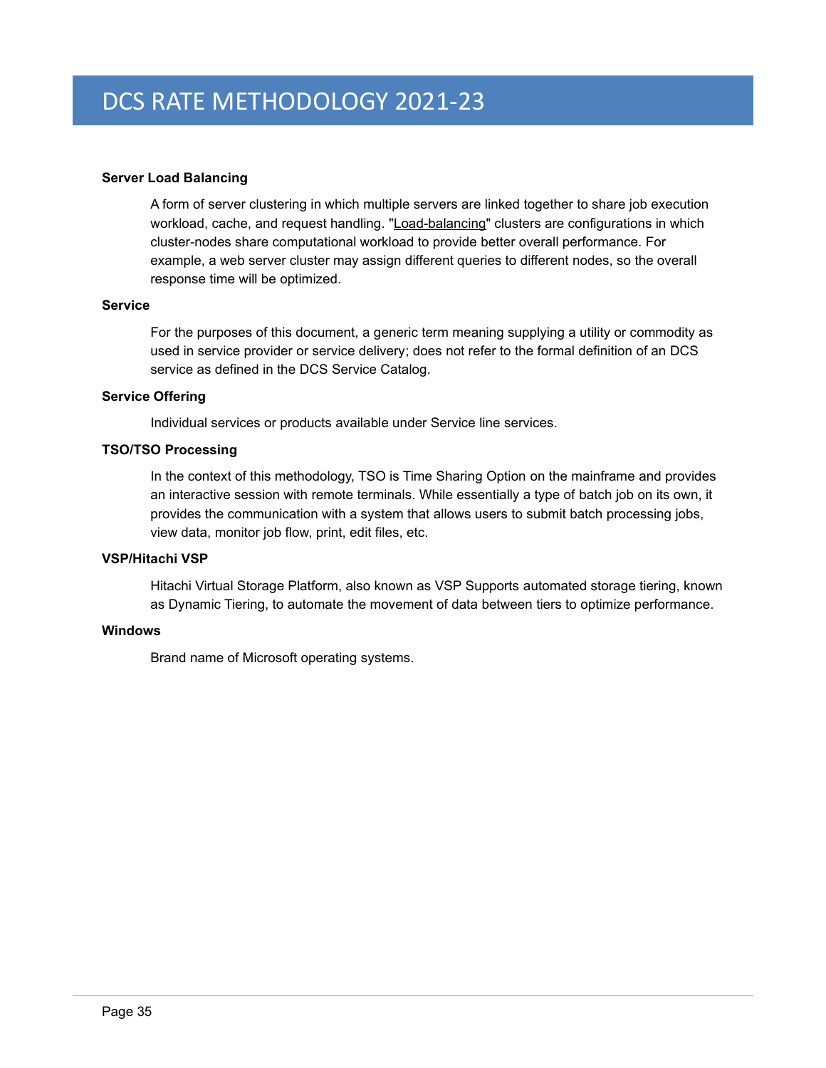### **Server Load Balancing**

A form of server clustering in which multiple servers are linked together to share job execution workload, cache, and request handling. ["Load-balancing"](http://en.wikipedia.org/wiki/Load_balancing_(computing)) clusters are configurations in which cluster-nodes share computational workload to provide better overall performance. For example, a web server cluster may assign different queries to different nodes, so the overall response time will be optimized.

#### **Service**

For the purposes of this document, a generic term meaning supplying a utility or commodity as used in service provider or service delivery; does not refer to the formal definition of an DCS service as defined in the DCS Service Catalog.

#### **Service Offering**

Individual services or products available under Service line services.

### **TSO/TSO Processing**

In the context of this methodology, TSO is Time Sharing Option on the mainframe and provides an interactive session with remote terminals. While essentially a type of batch job on its own, it provides the communication with a system that allows users to submit batch processing jobs, view data, monitor job flow, print, edit files, etc.

### **VSP/Hitachi VSP**

Hitachi Virtual Storage Platform, also known as VSP Supports [automated storage tiering,](http://en.wikipedia.org/wiki/Hierarchical_storage_management#Tiered_storage) known as Dynamic Tiering, to automate the movement of data between tiers to optimize performance.

# **Windows**

Brand name of Microsoft operating systems.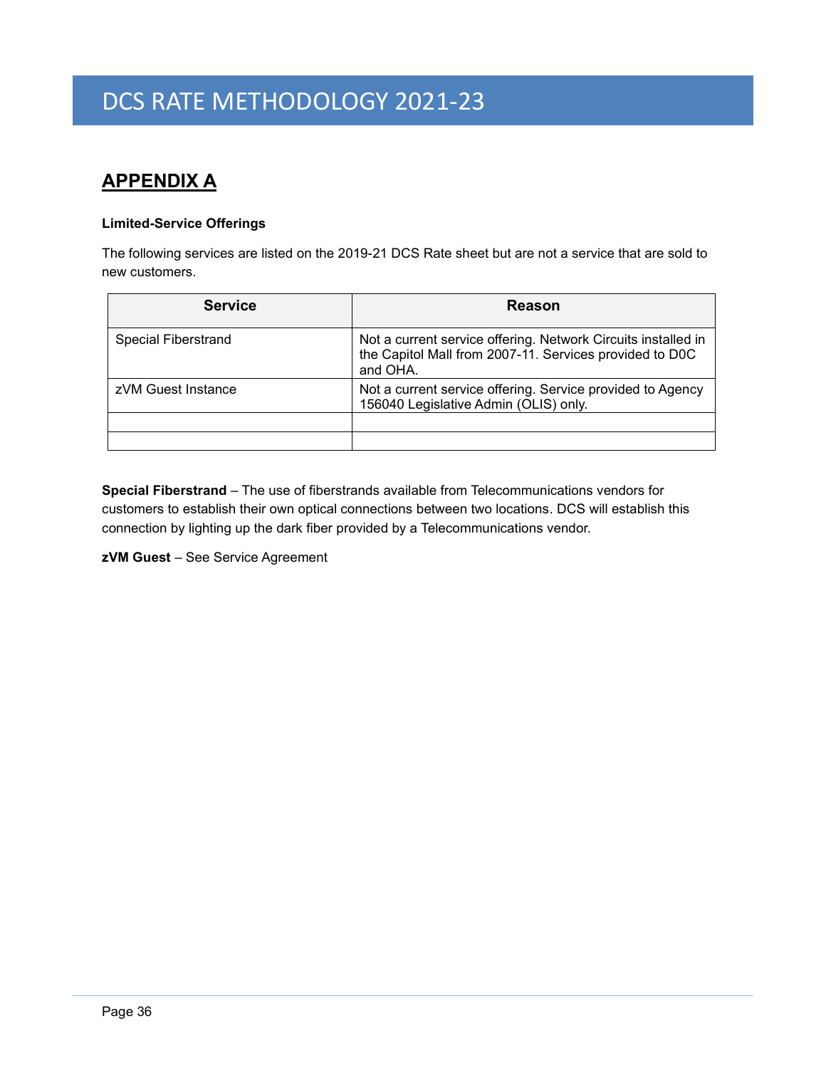# <span id="page-39-0"></span>**APPENDIX A**

# **Limited-Service Offerings**

The following services are listed on the 2019-21 DCS Rate sheet but are not a service that are sold to new customers.

| <b>Service</b>             | Reason                                                                                                                               |
|----------------------------|--------------------------------------------------------------------------------------------------------------------------------------|
| <b>Special Fiberstrand</b> | Not a current service offering. Network Circuits installed in<br>the Capitol Mall from 2007-11. Services provided to D0C<br>and OHA. |
| zVM Guest Instance         | Not a current service offering. Service provided to Agency<br>156040 Legislative Admin (OLIS) only.                                  |
|                            |                                                                                                                                      |
|                            |                                                                                                                                      |

**Special Fiberstrand** – The use of fiberstrands available from Telecommunications vendors for customers to establish their own optical connections between two locations. DCS will establish this connection by lighting up the dark fiber provided by a Telecommunications vendor.

**zVM Guest** – See Service Agreement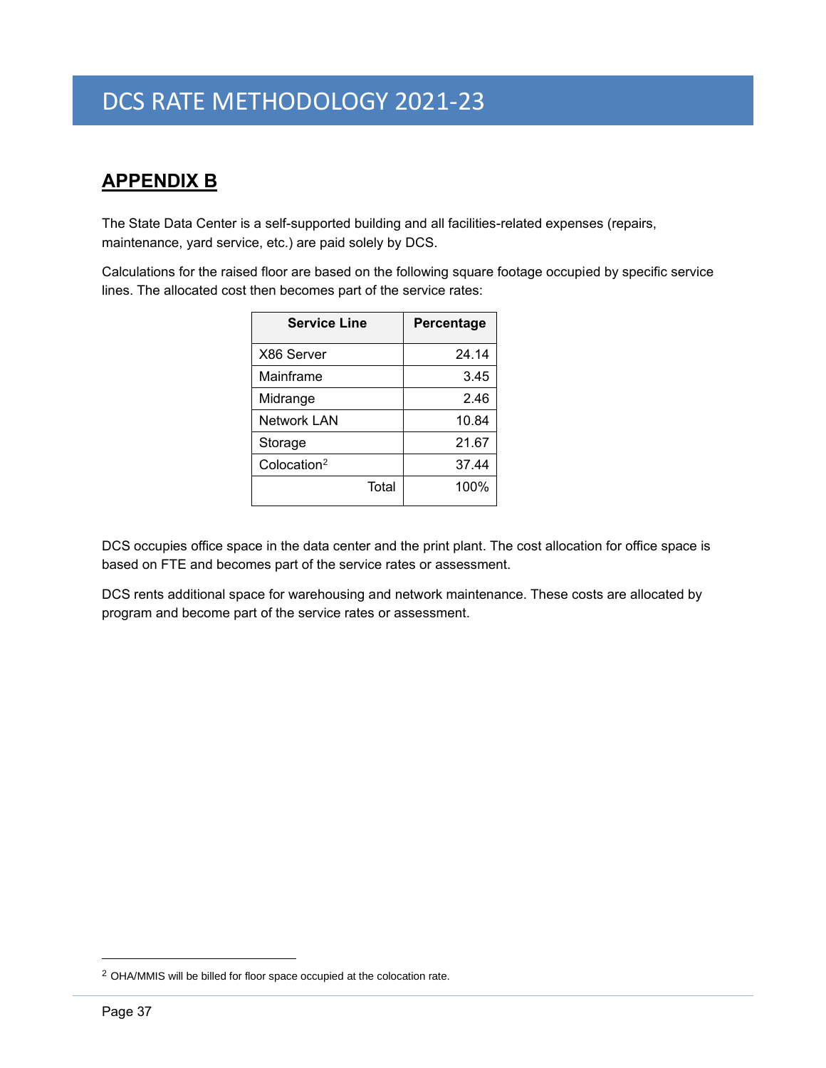# <span id="page-40-0"></span>**APPENDIX B**

The State Data Center is a self-supported building and all facilities-related expenses (repairs, maintenance, yard service, etc.) are paid solely by DCS.

Calculations for the raised floor are based on the following square footage occupied by specific service lines. The allocated cost then becomes part of the service rates:

| <b>Service Line</b>     | Percentage |
|-------------------------|------------|
| X86 Server              | 24.14      |
| Mainframe               | 3.45       |
| Midrange                | 2.46       |
| <b>Network LAN</b>      | 10.84      |
| Storage                 | 21.67      |
| Colocation <sup>2</sup> | 37.44      |
| Total                   | 100%       |

DCS occupies office space in the data center and the print plant. The cost allocation for office space is based on FTE and becomes part of the service rates or assessment.

DCS rents additional space for warehousing and network maintenance. These costs are allocated by program and become part of the service rates or assessment.

<sup>&</sup>lt;sup>2</sup> OHA/MMIS will be billed for floor space occupied at the colocation rate.